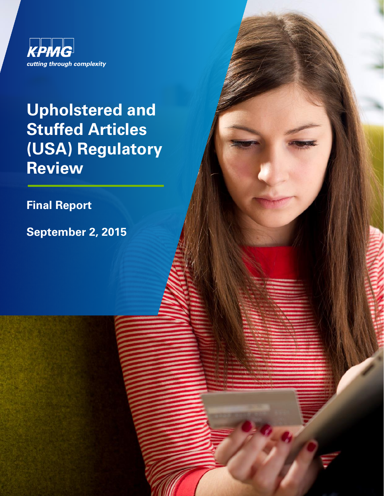

# **Upholstered and Stuffed Articles (USA) Regulatory Review**

**Final Report**

**September 2, 2015**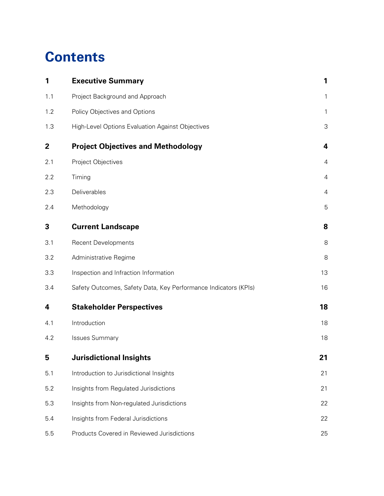## **Contents**

| 1            | <b>Executive Summary</b>                                        | 1                       |
|--------------|-----------------------------------------------------------------|-------------------------|
| 1.1          | Project Background and Approach                                 | 1                       |
| 1.2          | Policy Objectives and Options                                   | 1                       |
| 1.3          | High-Level Options Evaluation Against Objectives                | $\mathsf 3$             |
| $\mathbf{2}$ | <b>Project Objectives and Methodology</b>                       | $\overline{\mathbf{4}}$ |
| 2.1          | Project Objectives                                              | $\overline{4}$          |
| 2.2          | Timing                                                          | 4                       |
| 2.3          | Deliverables                                                    | 4                       |
| 2.4          | Methodology                                                     | 5                       |
| 3            | <b>Current Landscape</b>                                        | 8                       |
| 3.1          | <b>Recent Developments</b>                                      | 8                       |
| 3.2          | Administrative Regime                                           | 8                       |
| 3.3          | Inspection and Infraction Information                           | 13                      |
| 3.4          | Safety Outcomes, Safety Data, Key Performance Indicators (KPIs) | 16                      |
| 4            | <b>Stakeholder Perspectives</b>                                 | 18                      |
| 4.1          | Introduction                                                    | 18                      |
| 4.2          | <b>Issues Summary</b>                                           | 18                      |
| 5            | <b>Jurisdictional Insights</b>                                  | 21                      |
| 5.1          | Introduction to Jurisdictional Insights                         | 21                      |
| 5.2          | Insights from Regulated Jurisdictions                           | 21                      |
| 5.3          | Insights from Non-regulated Jurisdictions                       | 22                      |
| 5.4          | Insights from Federal Jurisdictions                             | 22                      |
| 5.5          | Products Covered in Reviewed Jurisdictions                      | 25                      |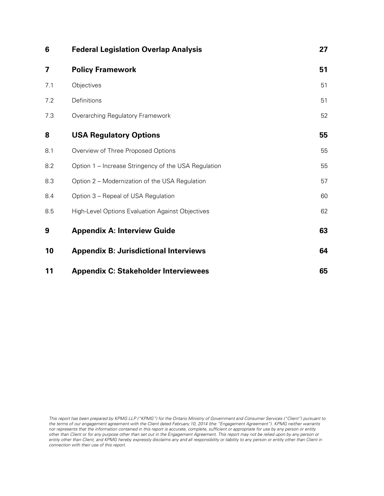| 6   | <b>Federal Legislation Overlap Analysis</b>             | 27 |
|-----|---------------------------------------------------------|----|
| 7   | <b>Policy Framework</b>                                 | 51 |
| 7.1 | Objectives                                              | 51 |
| 7.2 | Definitions                                             | 51 |
| 7.3 | Overarching Regulatory Framework                        | 52 |
| 8   | <b>USA Regulatory Options</b>                           | 55 |
| 8.1 | Overview of Three Proposed Options                      | 55 |
| 8.2 | Option 1 – Increase Stringency of the USA Regulation    | 55 |
| 8.3 | Option 2 - Modernization of the USA Regulation          | 57 |
| 8.4 | Option 3 – Repeal of USA Regulation                     | 60 |
| 8.5 | <b>High-Level Options Evaluation Against Objectives</b> | 62 |
| 9   | <b>Appendix A: Interview Guide</b>                      | 63 |
| 10  | <b>Appendix B: Jurisdictional Interviews</b>            | 64 |
| 11  | <b>Appendix C: Stakeholder Interviewees</b>             | 65 |

This report has been prepared by KPMG LLP ("KPMG") for the Ontario Ministry of Government and Consumer Services ("Client") pursuant to the terms of our engagement agreement with the Client dated February 10, 2014 (the "Engagement Agreement"). KPMG neither warrants nor represents that the information contained in this report is accurate, complete, sufficient or appropriate for use by any person or entity other than Client or for any purpose other than set out in the Engagement Agreement. This report may not be relied upon by any person or entity other than Client, and KPMG hereby expressly disclaims any and all responsibility or liability to any person or entity other than Client in connection with their use of this report.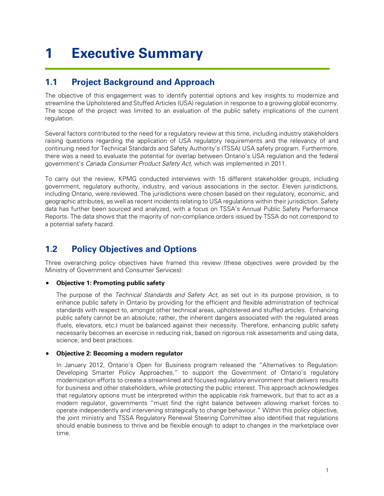## <span id="page-3-0"></span>**1 Executive Summary**

### <span id="page-3-1"></span>**1.1 Project Background and Approach**

The objective of this engagement was to identify potential options and key insights to modernize and streamline the Upholstered and Stuffed Articles (USA) regulation in response to a growing global economy. The scope of the project was limited to an evaluation of the public safety implications of the current regulation.

Several factors contributed to the need for a regulatory review at this time, including industry stakeholders raising questions regarding the application of USA regulatory requirements and the relevancy of and continuing need for Technical Standards and Safety Authority's (TSSA) USA safety program. Furthermore, there was a need to evaluate the potential for overlap between Ontario's USA regulation and the federal government's Canada Consumer Product Safety Act, which was implemented in 2011.

To carry out the review, KPMG conducted interviews with 15 different stakeholder groups, including government, regulatory authority, industry, and various associations in the sector. Eleven jurisdictions, including Ontario, were reviewed. The jurisdictions were chosen based on their regulatory, economic, and geographic attributes, as well as recent incidents relating to USA regulations within their jurisdiction. Safety data has further been sourced and analyzed, with a focus on TSSA's Annual Public Safety Performance Reports. The data shows that the majority of non-compliance orders issued by TSSA do not correspond to a potential safety hazard.

## <span id="page-3-2"></span>**1.2 Policy Objectives and Options**

Three overarching policy objectives have framed this review (these objectives were provided by the Ministry of Government and Consumer Services):

### • **Objective 1: Promoting public safety**

The purpose of the Technical Standards and Safety Act, as set out in its purpose provision, is to enhance public safety in Ontario by providing for the efficient and flexible administration of technical standards with respect to, amongst other technical areas, upholstered and stuffed articles. Enhancing public safety cannot be an absolute; rather, the inherent dangers associated with the regulated areas (fuels, elevators, etc.) must be balanced against their necessity. Therefore, enhancing public safety necessarily becomes an exercise in reducing risk, based on rigorous risk assessments and using data, science, and best practices.

### • **Objective 2: Becoming a modern regulator**

In January 2012, Ontario's Open for Business program released the "Alternatives to Regulation: Developing Smarter Policy Approaches," to support the Government of Ontario's regulatory modernization efforts to create a streamlined and focused regulatory environment that delivers results for business and other stakeholders, while protecting the public interest. This approach acknowledges that regulatory options must be interpreted within the applicable risk framework, but that to act as a modern regulator, governments "must find the right balance between allowing market forces to operate independently and intervening strategically to change behaviour." Within this policy objective, the joint ministry and TSSA Regulatory Renewal Steering Committee also identified that regulations should enable business to thrive and be flexible enough to adapt to changes in the marketplace over time.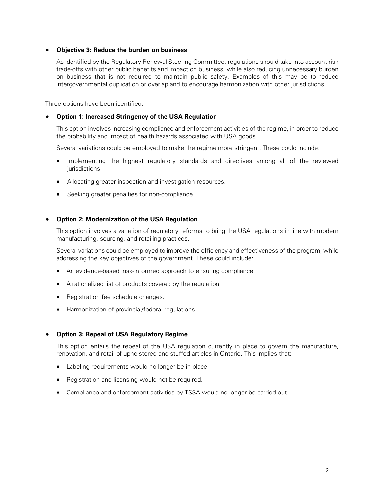### • **Objective 3: Reduce the burden on business**

As identified by the Regulatory Renewal Steering Committee, regulations should take into account risk trade-offs with other public benefits and impact on business, while also reducing unnecessary burden on business that is not required to maintain public safety. Examples of this may be to reduce intergovernmental duplication or overlap and to encourage harmonization with other jurisdictions.

Three options have been identified:

### • **Option 1: Increased Stringency of the USA Regulation**

This option involves increasing compliance and enforcement activities of the regime, in order to reduce the probability and impact of health hazards associated with USA goods.

Several variations could be employed to make the regime more stringent. These could include:

- Implementing the highest regulatory standards and directives among all of the reviewed jurisdictions.
- Allocating greater inspection and investigation resources.
- Seeking greater penalties for non-compliance.

### • **Option 2: Modernization of the USA Regulation**

This option involves a variation of regulatory reforms to bring the USA regulations in line with modern manufacturing, sourcing, and retailing practices.

Several variations could be employed to improve the efficiency and effectiveness of the program, while addressing the key objectives of the government. These could include:

- An evidence-based, risk-informed approach to ensuring compliance.
- A rationalized list of products covered by the regulation.
- Registration fee schedule changes.
- Harmonization of provincial/federal regulations.

#### • **Option 3: Repeal of USA Regulatory Regime**

This option entails the repeal of the USA regulation currently in place to govern the manufacture, renovation, and retail of upholstered and stuffed articles in Ontario. This implies that:

- Labeling requirements would no longer be in place.
- Registration and licensing would not be required.
- Compliance and enforcement activities by TSSA would no longer be carried out.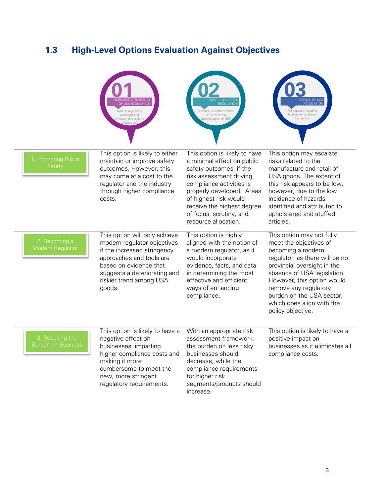## <span id="page-5-0"></span>**1.3 High-Level Options Evaluation Against Objectives**

|                                              | ISA REGUI ATIOI<br>Greater regulatory<br>oversight and<br>nforcement tools to<br>address risk                                                                                                                          | <b>Numerous modernization</b><br>reforms to the<br>dministration of US.                                                                                                                                                                                                              | <b>REGULATION</b><br>Full repeal of existing<br>legislative/regulatory<br>framework                                                                                                                                                                                                                            |
|----------------------------------------------|------------------------------------------------------------------------------------------------------------------------------------------------------------------------------------------------------------------------|--------------------------------------------------------------------------------------------------------------------------------------------------------------------------------------------------------------------------------------------------------------------------------------|----------------------------------------------------------------------------------------------------------------------------------------------------------------------------------------------------------------------------------------------------------------------------------------------------------------|
| 1. Promoting Public<br>Safety                | This option is likely to either<br>maintain or improve safety<br>outcomes. However, this<br>may come at a cost to the<br>regulator and the industry<br>through higher compliance<br>costs.                             | This option is likely to have<br>a minimal effect on public<br>safety outcomes, if the<br>risk assessment driving<br>compliance activities is<br>properly developed. Areas<br>of highest risk would<br>receive the highest degree<br>of focus, scrutiny, and<br>resource allocation. | This option may escalate<br>risks related to the<br>manufacture and retail of<br>USA goods. The extent of<br>this risk appears to be low,<br>however, due to the low<br>incidence of hazards<br>identified and attributed to<br>upholstered and stuffed<br>articles.                                           |
| 2. Becoming a<br>Modern Regulator            | This option will only achieve<br>modern regulator objectives<br>if the increased stringency<br>approaches and tools are<br>based on evidence that<br>suggests a deteriorating and<br>riskier trend among USA<br>goods. | This option is highly<br>aligned with the notion of<br>a modern regulator, as it<br>would incorporate<br>evidence, facts, and data<br>in determining the most<br>effective and efficient<br>ways of enhancing<br>compliance.                                                         | This option may not fully<br>meet the objectives of<br>becoming a modern<br>regulator, as there will be no<br>provincial oversight in the<br>absence of USA legislation.<br>However, this option would<br>remove any regulatory<br>burden on the USA sector,<br>which does align with the<br>policy objective. |
| 3. Reducing the<br><b>Burden on Business</b> | This option is likely to have a<br>negative effect on<br>businesses, imparting<br>higher compliance costs and<br>making it more<br>cumbersome to meet the<br>new, more stringent<br>regulatory requirements.           | With an appropriate risk<br>assessment framework,<br>the burden on less risky<br>businesses should<br>decrease, while the<br>compliance requirements<br>for higher risk<br>segments/products should<br>increase.                                                                     | This option is likely to have a<br>positive impact on<br>businesses as it eliminates all<br>compliance costs.                                                                                                                                                                                                  |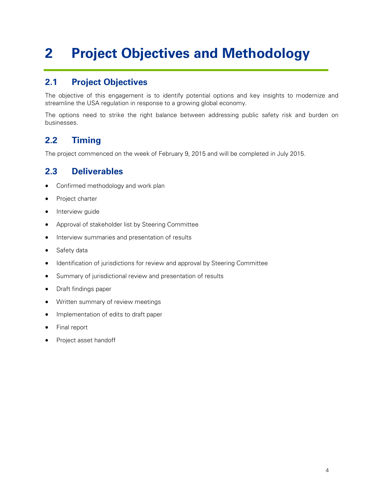## <span id="page-6-0"></span>**2 Project Objectives and Methodology**

## <span id="page-6-1"></span>**2.1 Project Objectives**

The objective of this engagement is to identify potential options and key insights to modernize and streamline the USA regulation in response to a growing global economy.

The options need to strike the right balance between addressing public safety risk and burden on businesses.

## <span id="page-6-2"></span>**2.2 Timing**

The project commenced on the week of February 9, 2015 and will be completed in July 2015.

### <span id="page-6-3"></span>**2.3 Deliverables**

- Confirmed methodology and work plan
- Project charter
- Interview guide
- Approval of stakeholder list by Steering Committee
- Interview summaries and presentation of results
- Safety data
- Identification of jurisdictions for review and approval by Steering Committee
- Summary of jurisdictional review and presentation of results
- Draft findings paper
- Written summary of review meetings
- Implementation of edits to draft paper
- Final report
- Project asset handoff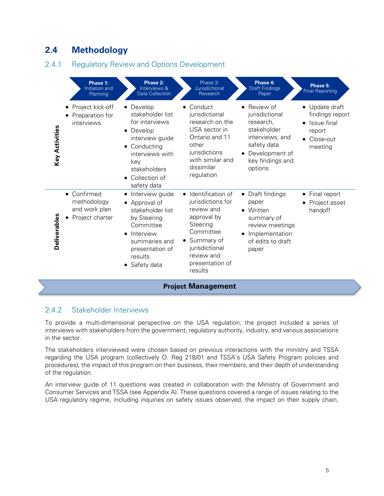## <span id="page-7-0"></span>**2.4 Methodology**

### 2.4.1 Regulatory Review and Options Development

|                       | Phase 1:<br>Initiation and<br>Planning                                    | Phase 2:<br>Interviews &<br><b>Data Collection</b>                                                                                                                               | Phase 3:<br>Jurisdictional<br>Research                                                                                                                                                  | Phase 4:<br><b>Draft Findings</b><br>Paper                                                                                                 | Phase 5:<br><b>Final Reporting</b>                                                              |  |
|-----------------------|---------------------------------------------------------------------------|----------------------------------------------------------------------------------------------------------------------------------------------------------------------------------|-----------------------------------------------------------------------------------------------------------------------------------------------------------------------------------------|--------------------------------------------------------------------------------------------------------------------------------------------|-------------------------------------------------------------------------------------------------|--|
| <b>Key Activities</b> | Project kick-off<br>Preparation for<br>interviews                         | Develop<br>stakeholder list<br>for interviews<br>Develop<br>$\bullet$<br>interview guide<br>Conducting<br>interviews with<br>key<br>stakeholders<br>Collection of<br>safety data | Conduct<br>jurisdictional<br>research on the<br>USA sector in<br>Ontario and 11<br>other<br>jurisdictions<br>with similar and<br>dissimilar<br>regulation                               | Review of<br>jurisdictional<br>research,<br>stakeholder<br>interviews, and<br>safety data<br>Development of<br>key findings and<br>options | • Update draft<br>findings report<br>Issue final<br>report<br>Close-out<br>$\bullet$<br>meeting |  |
| Deliverables          | Confirmed<br>$\bullet$<br>methodology<br>and work plan<br>Project charter | Interview guide<br>Approval of<br>stakeholder list<br>by Steering<br>Committee<br>Interview<br>$\bullet$<br>summaries and<br>presentation of<br>results<br>Safety data           | Identification of<br>$\bullet$<br>jurisdictions for<br>review and<br>approval by<br>Steering<br>Committee<br>• Summary of<br>jurisdictional<br>review and<br>presentation of<br>results | Draft findings<br>$\bullet$<br>paper<br>Written<br>summary of<br>review meetings<br>Implementation<br>of edits to draft<br>paper           | Final report<br>٠<br>Project asset<br>handoff                                                   |  |
|                       | <b>Project Management</b>                                                 |                                                                                                                                                                                  |                                                                                                                                                                                         |                                                                                                                                            |                                                                                                 |  |

### 2.4.2 Stakeholder Interviews

To provide a multi-dimensional perspective on the USA regulation, the project included a series of interviews with stakeholders from the government, regulatory authority, industry, and various associations in the sector.

The stakeholders interviewed were chosen based on previous interactions with the ministry and TSSA regarding the USA program (collectively O. Reg 218/01 and TSSA's USA Safety Program policies and procedures), the impact of this program on their business, their members, and their depth of understanding of the regulation.

An interview guide of 11 questions was created in collaboration with the Ministry of Government and Consumer Services and TSSA (see Appendix A). These questions covered a range of issues relating to the USA regulatory regime, including inquiries on safety issues observed, the impact on their supply chain,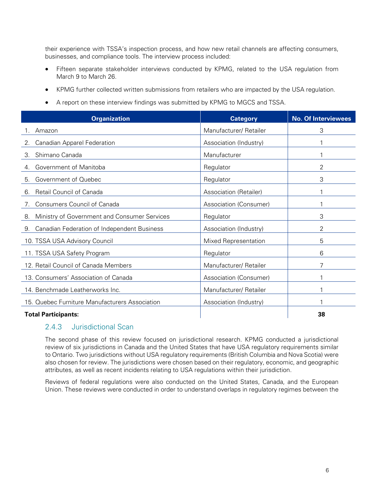their experience with TSSA's inspection process, and how new retail channels are affecting consumers, businesses, and compliance tools. The interview process included:

- Fifteen separate stakeholder interviews conducted by KPMG, related to the USA regulation from March 9 to March 26.
- KPMG further collected written submissions from retailers who are impacted by the USA regulation.
- A report on these interview findings was submitted by KPMG to MGCS and TSSA.

| <b>Organization</b>                                | <b>Category</b>        | <b>No. Of Interviewees</b> |
|----------------------------------------------------|------------------------|----------------------------|
| Amazon                                             | Manufacturer/ Retailer | 3                          |
| <b>Canadian Apparel Federation</b>                 | Association (Industry) |                            |
| Shimano Canada<br>3.                               | Manufacturer           |                            |
| Government of Manitoba<br>4.                       | Regulator              | 2                          |
| Government of Quebec<br>5.                         | Regulator              | 3                          |
| Retail Council of Canada<br>6.                     | Association (Retailer) |                            |
| Consumers Council of Canada                        | Association (Consumer) |                            |
| Ministry of Government and Consumer Services<br>8. | Regulator              | 3                          |
| Canadian Federation of Independent Business<br>9.  | Association (Industry) | 2                          |
| 10. TSSA USA Advisory Council                      | Mixed Representation   | 5                          |
| 11. TSSA USA Safety Program                        | Regulator              | 6                          |
| 12. Retail Council of Canada Members               | Manufacturer/ Retailer | 7                          |
| 13. Consumers' Association of Canada               | Association (Consumer) |                            |
| 14. Benchmade Leatherworks Inc.                    | Manufacturer/ Retailer |                            |
| 15. Quebec Furniture Manufacturers Association     | Association (Industry) |                            |
| <b>Total Participants:</b>                         |                        | 38                         |

### 2.4.3 Jurisdictional Scan

The second phase of this review focused on jurisdictional research. KPMG conducted a jurisdictional review of six jurisdictions in Canada and the United States that have USA regulatory requirements similar to Ontario. Two jurisdictions without USA regulatory requirements (British Columbia and Nova Scotia) were also chosen for review. The jurisdictions were chosen based on their regulatory, economic, and geographic attributes, as well as recent incidents relating to USA regulations within their jurisdiction.

Reviews of federal regulations were also conducted on the United States, Canada, and the European Union. These reviews were conducted in order to understand overlaps in regulatory regimes between the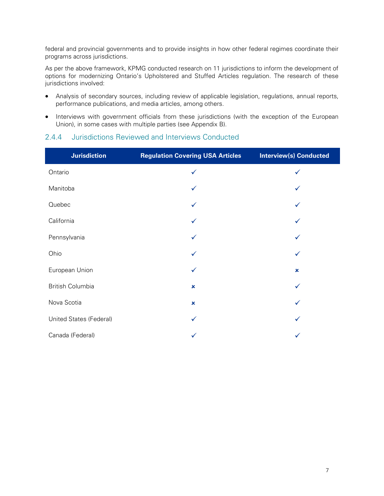federal and provincial governments and to provide insights in how other federal regimes coordinate their programs across jurisdictions.

As per the above framework, KPMG conducted research on 11 jurisdictions to inform the development of options for modernizing Ontario's Upholstered and Stuffed Articles regulation. The research of these jurisdictions involved:

- Analysis of secondary sources, including review of applicable legislation, regulations, annual reports, performance publications, and media articles, among others.
- Interviews with government officials from these jurisdictions (with the exception of the European Union), in some cases with multiple parties (see Appendix B).

### 2.4.4 Jurisdictions Reviewed and Interviews Conducted

| <b>Jurisdiction</b>     | <b>Regulation Covering USA Articles</b> | <b>Interview(s) Conducted</b> |
|-------------------------|-----------------------------------------|-------------------------------|
| Ontario                 | ✓                                       | ✓                             |
| Manitoba                |                                         |                               |
| Quebec                  | ✓                                       |                               |
| California              | ✓                                       |                               |
| Pennsylvania            | ✓                                       | ✓                             |
| Ohio                    | $\checkmark$                            | ✓                             |
| European Union          |                                         | $\pmb{\times}$                |
| <b>British Columbia</b> | $\pmb{\times}$                          |                               |
| Nova Scotia             | $\pmb{\times}$                          |                               |
| United States (Federal) | ✓                                       |                               |
| Canada (Federal)        |                                         |                               |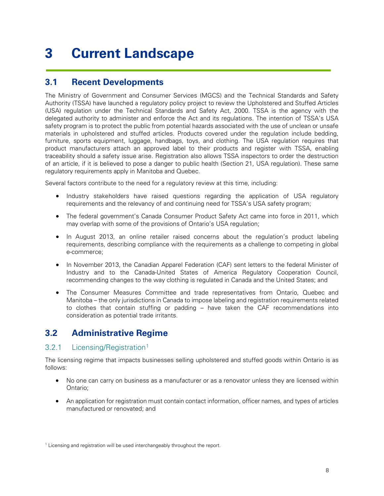## <span id="page-10-0"></span>**3 Current Landscape**

### <span id="page-10-1"></span>**3.1 Recent Developments**

The Ministry of Government and Consumer Services (MGCS) and the Technical Standards and Safety Authority (TSSA) have launched a regulatory policy project to review the Upholstered and Stuffed Articles (USA) regulation under the Technical Standards and Safety Act, 2000. TSSA is the agency with the delegated authority to administer and enforce the Act and its regulations. The intention of TSSA's USA safety program is to protect the public from potential hazards associated with the use of unclean or unsafe materials in upholstered and stuffed articles. Products covered under the regulation include bedding, furniture, sports equipment, luggage, handbags, toys, and clothing. The USA regulation requires that product manufacturers attach an approved label to their products and register with TSSA, enabling traceability should a safety issue arise. Registration also allows TSSA inspectors to order the destruction of an article, if it is believed to pose a danger to public health (Section 21, USA regulation). These same regulatory requirements apply in Manitoba and Quebec.

Several factors contribute to the need for a regulatory review at this time, including:

- Industry stakeholders have raised questions regarding the application of USA regulatory requirements and the relevancy of and continuing need for TSSA's USA safety program;
- The federal government's Canada Consumer Product Safety Act came into force in 2011, which may overlap with some of the provisions of Ontario's USA regulation;
- In August 2013, an online retailer raised concerns about the regulation's product labeling requirements, describing compliance with the requirements as a challenge to competing in global e-commerce;
- In November 2013, the Canadian Apparel Federation (CAF) sent letters to the federal Minister of Industry and to the Canada-United States of America Regulatory Cooperation Council, recommending changes to the way clothing is regulated in Canada and the United States; and
- The Consumer Measures Committee and trade representatives from Ontario, Quebec and Manitoba – the only jurisdictions in Canada to impose labeling and registration requirements related to clothes that contain stuffing or padding – have taken the CAF recommendations into consideration as potential trade irritants.

### <span id="page-10-2"></span>**3.2 Administrative Regime**

### 3.2.[1](#page-10-3) Licensing/Registration<sup>1</sup>

The licensing regime that impacts businesses selling upholstered and stuffed goods within Ontario is as follows:

- No one can carry on business as a manufacturer or as a renovator unless they are licensed within Ontario;
- An application for registration must contain contact information, officer names, and types of articles manufactured or renovated; and

<span id="page-10-3"></span> $1$  Licensing and registration will be used interchangeably throughout the report.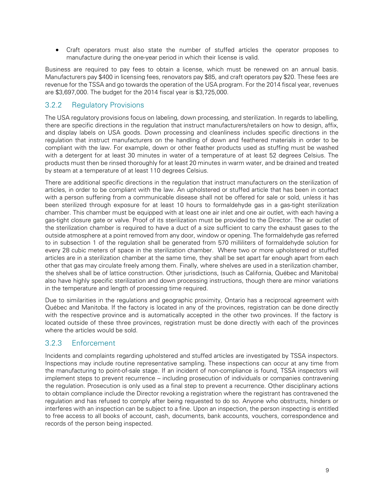• Craft operators must also state the number of stuffed articles the operator proposes to manufacture during the one-year period in which their license is valid.

Business are required to pay fees to obtain a license, which must be renewed on an annual basis. Manufacturers pay \$400 in licensing fees, renovators pay \$85, and craft operators pay \$20. These fees are revenue for the TSSA and go towards the operation of the USA program. For the 2014 fiscal year, revenues are \$3,697,000. The budget for the 2014 fiscal year is \$3,725,000.

### 3.2.2 Regulatory Provisions

The USA regulatory provisions focus on labeling, down processing, and sterilization. In regards to labelling, there are specific directions in the regulation that instruct manufacturers/retailers on how to design, affix, and display labels on USA goods. Down processing and cleanliness includes specific directions in the regulation that instruct manufacturers on the handling of down and feathered materials in order to be compliant with the law. For example, down or other feather products used as stuffing must be washed with a detergent for at least 30 minutes in water of a temperature of at least 52 degrees Celsius. The products must then be rinsed thoroughly for at least 20 minutes in warm water, and be drained and treated by steam at a temperature of at least 110 degrees Celsius.

There are additional specific directions in the regulation that instruct manufacturers on the sterilization of articles, in order to be compliant with the law. An upholstered or stuffed article that has been in contact with a person suffering from a communicable disease shall not be offered for sale or sold, unless it has been sterilized through exposure for at least 10 hours to formaldehyde gas in a gas-tight sterilization chamber. This chamber must be equipped with at least one air inlet and one air outlet, with each having a gas-tight closure gate or valve. Proof of its sterilization must be provided to the Director. The air outlet of the sterilization chamber is required to have a duct of a size sufficient to carry the exhaust gases to the outside atmosphere at a point removed from any door, window or opening. The formaldehyde gas referred to in subsection 1 of the regulation shall be generated from 570 milliliters of formaldehyde solution for every 28 cubic meters of space in the sterilization chamber. Where two or more upholstered or stuffed articles are in a sterilization chamber at the same time, they shall be set apart far enough apart from each other that gas may circulate freely among them. Finally, where shelves are used in a sterilization chamber, the shelves shall be of lattice construction. Other jurisdictions, (such as California, Québec and Manitoba) also have highly specific sterilization and down processing instructions, though there are minor variations in the temperature and length of processing time required.

Due to similarities in the regulations and geographic proximity, Ontario has a reciprocal agreement with Québec and Manitoba. If the factory is located in any of the provinces, registration can be done directly with the respective province and is automatically accepted in the other two provinces. If the factory is located outside of these three provinces, registration must be done directly with each of the provinces where the articles would be sold.

### 3.2.3 Enforcement

Incidents and complaints regarding upholstered and stuffed articles are investigated by TSSA inspectors. Inspections may include routine representative sampling. These inspections can occur at any time from the manufacturing to point-of-sale stage. If an incident of non-compliance is found, TSSA inspectors will implement steps to prevent recurrence – including prosecution of individuals or companies contravening the regulation. Prosecution is only used as a final step to prevent a recurrence. Other disciplinary actions to obtain compliance include the Director revoking a registration where the registrant has contravened the regulation and has refused to comply after being requested to do so. Anyone who obstructs, hinders or interferes with an inspection can be subject to a fine. Upon an inspection, the person inspecting is entitled to free access to all books of account, cash, documents, bank accounts, vouchers, correspondence and records of the person being inspected.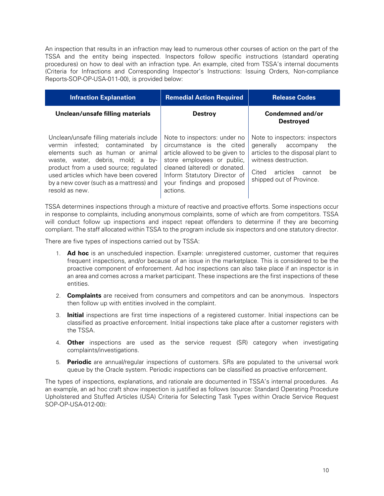An inspection that results in an infraction may lead to numerous other courses of action on the part of the TSSA and the entity being inspected. Inspectors follow specific instructions (standard operating procedures) on how to deal with an infraction type. An example, cited from TSSA's internal documents (Criteria for Infractions and Corresponding Inspector's Instructions: Issuing Orders, Non-compliance Reports-SOP-OP-USA-011-00), is provided below:

| <b>Infraction Explanation</b>                                                                                                                                                                                                                                                                           | <b>Remedial Action Required</b>                                                                                                                                                                                                      | <b>Release Codes</b>                                                                                                                                                                        |
|---------------------------------------------------------------------------------------------------------------------------------------------------------------------------------------------------------------------------------------------------------------------------------------------------------|--------------------------------------------------------------------------------------------------------------------------------------------------------------------------------------------------------------------------------------|---------------------------------------------------------------------------------------------------------------------------------------------------------------------------------------------|
| Unclean/unsafe filling materials                                                                                                                                                                                                                                                                        | <b>Destroy</b>                                                                                                                                                                                                                       | Condemned and/or<br><b>Destroved</b>                                                                                                                                                        |
| Unclean/unsafe filling materials include<br>vermin infested: contaminated<br>bv<br>elements such as human or animal<br>waste, water, debris, mold; a by-<br>product from a used source; regulated<br>used articles which have been covered<br>by a new cover (such as a mattress) and<br>resold as new. | Note to inspectors: under no<br>circumstance is the cited<br>article allowed to be given to<br>store employees or public,<br>cleaned (altered) or donated.<br>Inform Statutory Director of<br>your findings and proposed<br>actions. | Note to inspectors: inspectors<br>generally accompany<br>the<br>articles to the disposal plant to<br>witness destruction.<br>Cited<br>articles<br>cannot<br>he.<br>shipped out of Province. |

TSSA determines inspections through a mixture of reactive and proactive efforts. Some inspections occur in response to complaints, including anonymous complaints, some of which are from competitors. TSSA will conduct follow up inspections and inspect repeat offenders to determine if they are becoming compliant. The staff allocated within TSSA to the program include six inspectors and one statutory director.

There are five types of inspections carried out by TSSA:

- 1. **Ad hoc** is an unscheduled inspection. Example: unregistered customer, customer that requires frequent inspections, and/or because of an issue in the marketplace. This is considered to be the proactive component of enforcement. Ad hoc inspections can also take place if an inspector is in an area and comes across a market participant. These inspections are the first inspections of these entities.
- 2. **Complaints** are received from consumers and competitors and can be anonymous. Inspectors then follow up with entities involved in the complaint.
- 3. **Initial** inspections are first time inspections of a registered customer. Initial inspections can be classified as proactive enforcement. Initial inspections take place after a customer registers with the TSSA.
- 4. **Other** inspections are used as the service request (SR) category when investigating complaints/investigations.
- 5. **Periodic** are annual/regular inspections of customers. SRs are populated to the universal work queue by the Oracle system. Periodic inspections can be classified as proactive enforcement.

The types of inspections, explanations, and rationale are documented in TSSA's internal procedures. As an example, an ad hoc craft show inspection is justified as follows (source: Standard Operating Procedure Upholstered and Stuffed Articles (USA) Criteria for Selecting Task Types within Oracle Service Request SOP-OP-USA-012-00):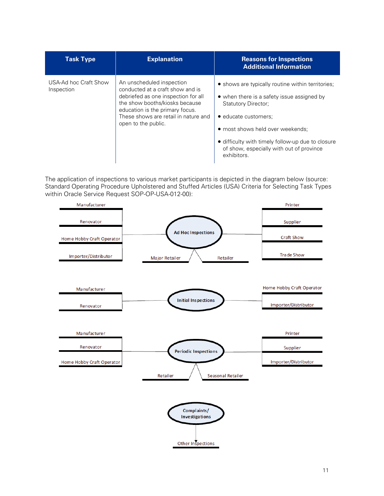| <b>Task Type</b>                    | <b>Explanation</b>                                                                                                                                                                                                                       | <b>Reasons for Inspections</b><br><b>Additional Information</b>                                                                                                                                                                                                                                           |
|-------------------------------------|------------------------------------------------------------------------------------------------------------------------------------------------------------------------------------------------------------------------------------------|-----------------------------------------------------------------------------------------------------------------------------------------------------------------------------------------------------------------------------------------------------------------------------------------------------------|
| USA-Ad hoc Craft Show<br>Inspection | An unscheduled inspection<br>conducted at a craft show and is<br>debriefed as one inspection for all<br>the show booths/kiosks because<br>education is the primary focus.<br>These shows are retail in nature and<br>open to the public. | • shows are typically routine within territories;<br>• when there is a safety issue assigned by<br><b>Statutory Director:</b><br>• educate customers;<br>• most shows held over weekends;<br>• difficulty with timely follow-up due to closure<br>of show, especially with out of province<br>exhibitors. |

The application of inspections to various market participants is depicted in the diagram below (source: Standard Operating Procedure Upholstered and Stuffed Articles (USA) Criteria for Selecting Task Types within Oracle Service Request SOP-OP-USA-012-00):

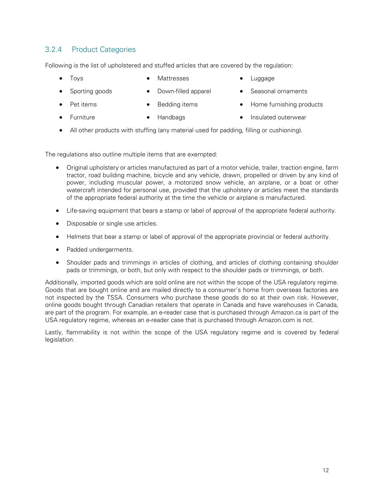### 3.2.4 Product Categories

Following is the list of upholstered and stuffed articles that are covered by the regulation:

• Toys

- **Mattresses**
- Luggage

• Sporting goods

Pet items

- Bedding items
- Seasonal ornaments
- Home furnishing products

- Furniture
- Handbags
- Insulated outerwear
- All other products with stuffing (any material used for padding, filling or cushioning).

• Down-filled apparel

The regulations also outline multiple items that are exempted:

- Original upholstery or articles manufactured as part of a motor vehicle, trailer, traction engine, farm tractor, road building machine, bicycle and any vehicle, drawn, propelled or driven by any kind of power, including muscular power, a motorized snow vehicle, an airplane, or a boat or other watercraft intended for personal use, provided that the upholstery or articles meet the standards of the appropriate federal authority at the time the vehicle or airplane is manufactured.
- Life-saving equipment that bears a stamp or label of approval of the appropriate federal authority.
- Disposable or single use articles.
- Helmets that bear a stamp or label of approval of the appropriate provincial or federal authority.
- Padded undergarments.
- Shoulder pads and trimmings in articles of clothing, and articles of clothing containing shoulder pads or trimmings, or both, but only with respect to the shoulder pads or trimmings, or both.

Additionally, imported goods which are sold online are not within the scope of the USA regulatory regime. Goods that are bought online and are mailed directly to a consumer's home from overseas factories are not inspected by the TSSA. Consumers who purchase these goods do so at their own risk. However, online goods bought through Canadian retailers that operate in Canada and have warehouses in Canada, are part of the program. For example, an e-reader case that is purchased through Amazon.ca is part of the USA regulatory regime, whereas an e-reader case that is purchased through Amazon.com is not.

Lastly, flammability is not within the scope of the USA regulatory regime and is covered by federal legislation.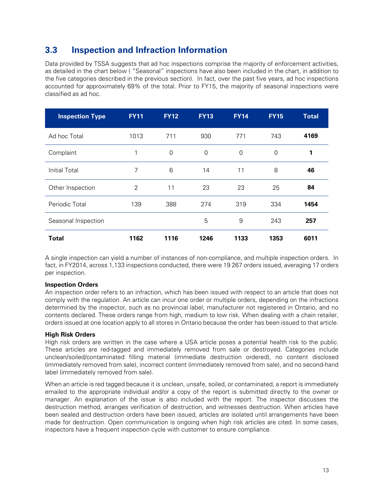### <span id="page-15-0"></span>**3.3 Inspection and Infraction Information**

Data provided by TSSA suggests that ad hoc inspections comprise the majority of enforcement activities, as detailed in the chart below ( "Seasonal" inspections have also been included in the chart, in addition to the five categories described in the previous section). In fact, over the past five years, ad hoc inspections accounted for approximately 69% of the total. Prior to FY15, the majority of seasonal inspections were classified as ad hoc.

| <b>Inspection Type</b> | <b>FY11</b> | <b>FY12</b> | <b>FY13</b> | <b>FY14</b> | <b>FY15</b> | <b>Total</b> |
|------------------------|-------------|-------------|-------------|-------------|-------------|--------------|
| Ad hoc Total           | 1013        | 711         | 930         | 771         | 743         | 4169         |
| Complaint              | 1           | 0           | $\mathbf 0$ | 0           | $\mathbf 0$ | 1            |
| <b>Initial Total</b>   | 7           | 6           | 14          | 11          | 8           | 46           |
| Other Inspection       | 2           | 11          | 23          | 23          | 25          | 84           |
| Periodic Total         | 139         | 388         | 274         | 319         | 334         | 1454         |
| Seasonal Inspection    |             |             | 5           | 9           | 243         | 257          |
| <b>Total</b>           | 1162        | 1116        | 1246        | 1133        | 1353        | 6011         |

A single inspection can yield a number of instances of non-compliance, and multiple inspection orders. In fact, in FY2014, across 1,133 inspections conducted, there were 19 267 orders issued, averaging 17 orders per inspection.

### **Inspection Orders**

An inspection order refers to an infraction, which has been issued with respect to an article that does not comply with the regulation. An article can incur one order or multiple orders, depending on the infractions determined by the inspector, such as no provincial label, manufacturer not registered in Ontario, and no contents declared. These orders range from high, medium to low risk. When dealing with a chain retailer, orders issued at one location apply to all stores in Ontario because the order has been issued to that article.

### **High Risk Orders**

High risk orders are written in the case where a USA article poses a potential health risk to the public. These articles are red-tagged and immediately removed from sale or destroyed. Categories include unclean/soiled/contaminated filling material (immediate destruction ordered), no content disclosed (immediately removed from sale), incorrect content (immediately removed from sale), and no second-hand label (immediately removed from sale).

When an article is red tagged because it is unclean, unsafe, soiled, or contaminated, a report is immediately emailed to the appropriate individual and/or a copy of the report is submitted directly to the owner or manager. An explanation of the issue is also included with the report. The inspector discusses the destruction method, arranges verification of destruction, and witnesses destruction. When articles have been sealed and destruction orders have been issued, articles are isolated until arrangements have been made for destruction. Open communication is ongoing when high risk articles are cited. In some cases, inspectors have a frequent inspection cycle with customer to ensure compliance.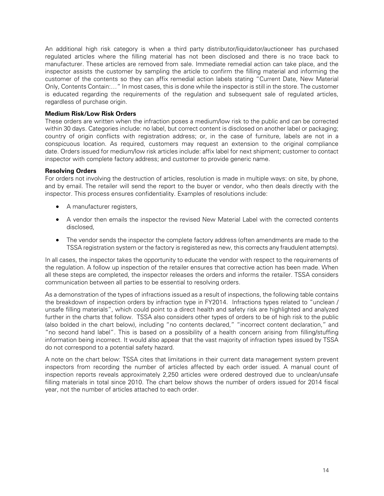An additional high risk category is when a third party distributor/liquidator/auctioneer has purchased regulated articles where the filling material has not been disclosed and there is no trace back to manufacturer. These articles are removed from sale. Immediate remedial action can take place, and the inspector assists the customer by sampling the article to confirm the filling material and informing the customer of the contents so they can affix remedial action labels stating "Current Date, New Material Only, Contents Contain:…" In most cases, this is done while the inspector is still in the store. The customer is educated regarding the requirements of the regulation and subsequent sale of regulated articles, regardless of purchase origin.

### **Medium Risk/Low Risk Orders**

These orders are written when the infraction poses a medium/low risk to the public and can be corrected within 30 days. Categories include: no label, but correct content is disclosed on another label or packaging; country of origin conflicts with registration address; or, in the case of furniture, labels are not in a conspicuous location. As required, customers may request an extension to the original compliance date. Orders issued for medium/low risk articles include: affix label for next shipment; customer to contact inspector with complete factory address; and customer to provide generic name.

### **Resolving Orders**

For orders not involving the destruction of articles, resolution is made in multiple ways: on site, by phone, and by email. The retailer will send the report to the buyer or vendor, who then deals directly with the inspector. This process ensures confidentiality. Examples of resolutions include:

- A manufacturer registers,
- A vendor then emails the inspector the revised New Material Label with the corrected contents disclosed,
- The vendor sends the inspector the complete factory address (often amendments are made to the TSSA registration system or the factory is registered as new, this corrects any fraudulent attempts).

In all cases, the inspector takes the opportunity to educate the vendor with respect to the requirements of the regulation. A follow up inspection of the retailer ensures that corrective action has been made. When all these steps are completed, the inspector releases the orders and informs the retailer. TSSA considers communication between all parties to be essential to resolving orders.

As a demonstration of the types of infractions issued as a result of inspections, the following table contains the breakdown of inspection orders by infraction type in FY2014. Infractions types related to "unclean / unsafe filling materials", which could point to a direct health and safety risk are highlighted and analyzed further in the charts that follow. TSSA also considers other types of orders to be of high risk to the public (also bolded in the chart below), including "no contents declared," "incorrect content declaration," and "no second hand label". This is based on a possibility of a health concern arising from filling/stuffing information being incorrect. It would also appear that the vast majority of infraction types issued by TSSA do not correspond to a potential safety hazard.

A note on the chart below: TSSA cites that limitations in their current data management system prevent inspectors from recording the number of articles affected by each order issued. A manual count of inspection reports reveals approximately 2,250 articles were ordered destroyed due to unclean/unsafe filling materials in total since 2010. The chart below shows the number of orders issued for 2014 fiscal year, not the number of articles attached to each order.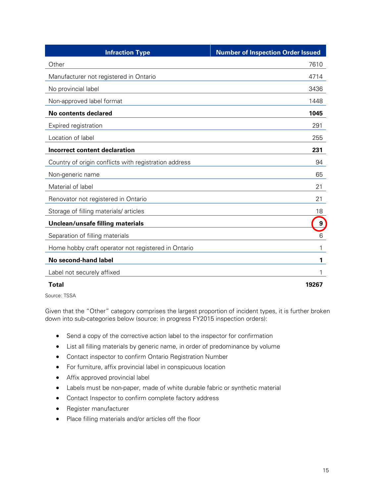| <b>Infraction Type</b>                                | <b>Number of Inspection Order Issued</b> |
|-------------------------------------------------------|------------------------------------------|
| Other                                                 | 7610                                     |
| Manufacturer not registered in Ontario                | 4714                                     |
| No provincial label                                   | 3436                                     |
| Non-approved label format                             | 1448                                     |
| <b>No contents declared</b>                           | 1045                                     |
| Expired registration                                  | 291                                      |
| Location of label                                     | 255                                      |
| <b>Incorrect content declaration</b>                  | 231                                      |
| Country of origin conflicts with registration address | 94                                       |
| Non-generic name                                      | 65                                       |
| Material of label                                     | 21                                       |
| Renovator not registered in Ontario                   | 21                                       |
| Storage of filling materials/articles                 | 18                                       |
| Unclean/unsafe filling materials                      | $\boldsymbol{9}$                         |
| Separation of filling materials                       | 6                                        |
| Home hobby craft operator not registered in Ontario   | 1                                        |
| No second-hand label                                  | 1                                        |
| Label not securely affixed                            |                                          |
| Total                                                 | 19267                                    |

Source: TSSA

Given that the "Other" category comprises the largest proportion of incident types, it is further broken down into sub-categories below (source: in progress FY2015 inspection orders):

- Send a copy of the corrective action label to the inspector for confirmation
- List all filling materials by generic name, in order of predominance by volume
- Contact inspector to confirm Ontario Registration Number
- For furniture, affix provincial label in conspicuous location
- Affix approved provincial label
- Labels must be non-paper, made of white durable fabric or synthetic material
- Contact Inspector to confirm complete factory address
- Register manufacturer
- Place filling materials and/or articles off the floor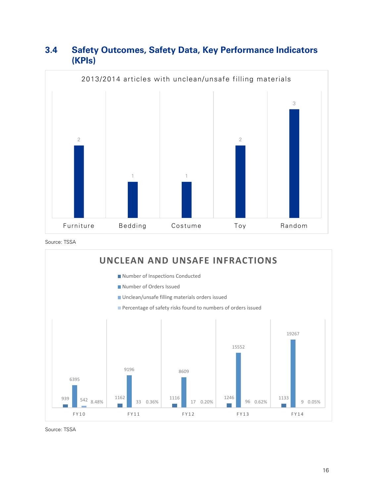### <span id="page-18-0"></span>**3.4 Safety Outcomes, Safety Data, Key Performance Indicators (KPIs)**



Source: TSSA



Source: TSSA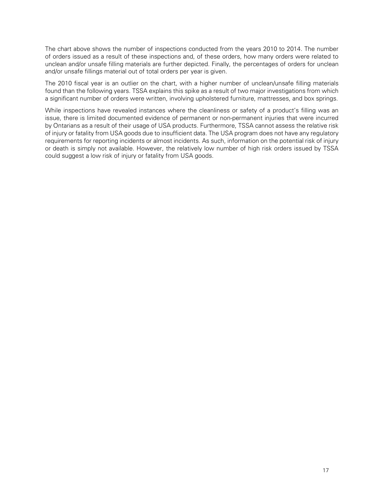The chart above shows the number of inspections conducted from the years 2010 to 2014. The number of orders issued as a result of these inspections and, of these orders, how many orders were related to unclean and/or unsafe filling materials are further depicted. Finally, the percentages of orders for unclean and/or unsafe fillings material out of total orders per year is given.

The 2010 fiscal year is an outlier on the chart, with a higher number of unclean/unsafe filling materials found than the following years. TSSA explains this spike as a result of two major investigations from which a significant number of orders were written, involving upholstered furniture, mattresses, and box springs.

While inspections have revealed instances where the cleanliness or safety of a product's filling was an issue, there is limited documented evidence of permanent or non-permanent injuries that were incurred by Ontarians as a result of their usage of USA products. Furthermore, TSSA cannot assess the relative risk of injury or fatality from USA goods due to insufficient data. The USA program does not have any regulatory requirements for reporting incidents or almost incidents. As such, information on the potential risk of injury or death is simply not available. However, the relatively low number of high risk orders issued by TSSA could suggest a low risk of injury or fatality from USA goods.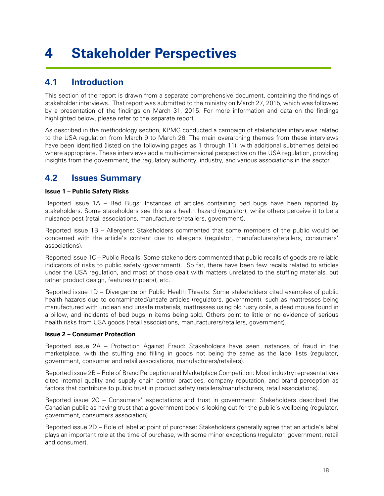## <span id="page-20-0"></span>**4 Stakeholder Perspectives**

## <span id="page-20-1"></span>**4.1 Introduction**

This section of the report is drawn from a separate comprehensive document, containing the findings of stakeholder interviews. That report was submitted to the ministry on March 27, 2015, which was followed by a presentation of the findings on March 31, 2015. For more information and data on the findings highlighted below, please refer to the separate report.

As described in the methodology section, KPMG conducted a campaign of stakeholder interviews related to the USA regulation from March 9 to March 26. The main overarching themes from these interviews have been identified (listed on the following pages as 1 through 11), with additional subthemes detailed where appropriate. These interviews add a multi-dimensional perspective on the USA regulation, providing insights from the government, the regulatory authority, industry, and various associations in the sector.

## <span id="page-20-2"></span>**4.2 Issues Summary**

### **Issue 1 – Public Safety Risks**

Reported issue 1A – Bed Bugs: Instances of articles containing bed bugs have been reported by stakeholders. Some stakeholders see this as a health hazard (regulator), while others perceive it to be a nuisance pest (retail associations, manufacturers/retailers, government).

Reported issue 1B – Allergens: Stakeholders commented that some members of the public would be concerned with the article's content due to allergens (regulator, manufacturers/retailers, consumers' associations).

Reported issue 1C – Public Recalls: Some stakeholders commented that public recalls of goods are reliable indicators of risks to public safety (government). So far, there have been few recalls related to articles under the USA regulation, and most of those dealt with matters unrelated to the stuffing materials, but rather product design, features (zippers), etc.

Reported issue 1D – Divergence on Public Health Threats: Some stakeholders cited examples of public health hazards due to contaminated/unsafe articles (regulators, government), such as mattresses being manufactured with unclean and unsafe materials, mattresses using old rusty coils, a dead mouse found in a pillow, and incidents of bed bugs in items being sold. Others point to little or no evidence of serious health risks from USA goods (retail associations, manufacturers/retailers, government).

### **Issue 2 – Consumer Protection**

Reported issue 2A – Protection Against Fraud: Stakeholders have seen instances of fraud in the marketplace, with the stuffing and filling in goods not being the same as the label lists (regulator, government, consumer and retail associations, manufacturers/retailers).

Reported issue 2B – Role of Brand Perception and Marketplace Competition: Most industry representatives cited internal quality and supply chain control practices, company reputation, and brand perception as factors that contribute to public trust in product safety (retailers/manufacturers, retail associations).

Reported issue 2C – Consumers' expectations and trust in government: Stakeholders described the Canadian public as having trust that a government body is looking out for the public's wellbeing (regulator, government, consumers association).

Reported issue 2D – Role of label at point of purchase: Stakeholders generally agree that an article's label plays an important role at the time of purchase, with some minor exceptions (regulator, government, retail and consumer).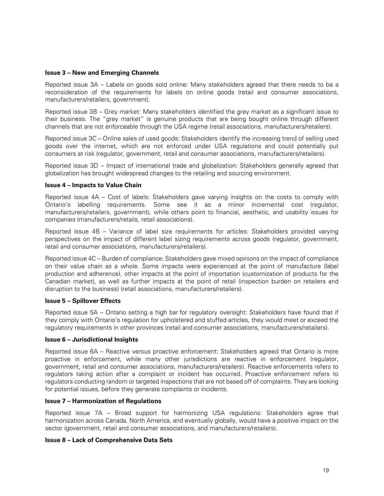### **Issue 3 – New and Emerging Channels**

Reported issue 3A – Labels on goods sold online: Many stakeholders agreed that there needs to be a reconsideration of the requirements for labels on online goods (retail and consumer associations, manufacturers/retailers, government).

Reported issue 3B – Grey market: Many stakeholders identified the grey market as a significant issue to their business. The "grey market" is genuine products that are being bought online through different channels that are not enforceable through the USA regime (retail associations, manufacturers/retailers).

Reported issue 3C – Online sales of used goods: Stakeholders identify the increasing trend of selling used goods over the internet, which are not enforced under USA regulations and could potentially put consumers at risk (regulator, government, retail and consumer associations, manufacturers/retailers).

Reported issue 3D – Impact of international trade and globalization: Stakeholders generally agreed that globalization has brought widespread changes to the retailing and sourcing environment.

#### **Issue 4 – Impacts to Value Chain**

Reported issue 4A – Cost of labels: Stakeholders gave varying insights on the costs to comply with Ontario's labelling requirements. Some see it as a minor incremental cost (regulator, manufacturers/retailers, government), while others point to financial, aesthetic, and usability issues for companies (manufacturers/retails, retail associations).

Reported issue 4B – Variance of label size requirements for articles: Stakeholders provided varying perspectives on the impact of different label sizing requirements across goods (regulator, government, retail and consumer associations, manufacturers/retailers).

Reported issue 4C – Burden of compliance: Stakeholders gave mixed opinions on the impact of compliance on their value chain as a whole. Some impacts were experienced at the point of manufacture (label production and adherence), other impacts at the point of importation (customization of products for the Canadian market), as well as further impacts at the point of retail (inspection burden on retailers and disruption to the business) (retail associations, manufacturers/retailers).

#### **Issue 5 – Spillover Effects**

Reported issue 5A – Ontario setting a high bar for regulatory oversight: Stakeholders have found that if they comply with Ontario's regulation for upholstered and stuffed articles, they would meet or exceed the regulatory requirements in other provinces (retail and consumer associations, manufacturers/retailers).

#### **Issue 6 – Jurisdictional Insights**

Reported issue 6A – Reactive versus proactive enforcement: Stakeholders agreed that Ontario is more proactive in enforcement, while many other jurisdictions are reactive in enforcement (regulator, government, retail and consumer associations, manufacturers/retailers). Reactive enforcements refers to regulators taking action after a complaint or incident has occurred. Proactive enforcement refers to regulators conducting random or targeted inspections that are not based off of complaints. They are looking for potential issues, before they generate complaints or incidents.

#### **Issue 7 – Harmonization of Regulations**

Reported issue 7A – Broad support for harmonizing USA regulations: Stakeholders agree that harmonization across Canada, North America, and eventually globally, would have a positive impact on the sector (government, retail and consumer associations, and manufacturers/retailers).

#### **Issue 8 – Lack of Comprehensive Data Sets**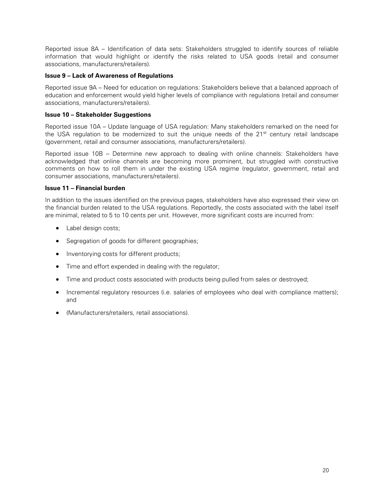Reported issue 8A – Identification of data sets: Stakeholders struggled to identify sources of reliable information that would highlight or identify the risks related to USA goods (retail and consumer associations, manufacturers/retailers).

### **Issue 9 – Lack of Awareness of Regulations**

Reported issue 9A – Need for education on regulations: Stakeholders believe that a balanced approach of education and enforcement would yield higher levels of compliance with regulations (retail and consumer associations, manufacturers/retailers).

### **Issue 10 – Stakeholder Suggestions**

Reported issue 10A – Update language of USA regulation: Many stakeholders remarked on the need for the USA regulation to be modernized to suit the unique needs of the  $21<sup>st</sup>$  century retail landscape (government, retail and consumer associations, manufacturers/retailers).

Reported issue 10B – Determine new approach to dealing with online channels: Stakeholders have acknowledged that online channels are becoming more prominent, but struggled with constructive comments on how to roll them in under the existing USA regime (regulator, government, retail and consumer associations, manufacturers/retailers).

### **Issue 11 – Financial burden**

In addition to the issues identified on the previous pages, stakeholders have also expressed their view on the financial burden related to the USA regulations. Reportedly, the costs associated with the label itself are minimal, related to 5 to 10 cents per unit. However, more significant costs are incurred from:

- Label design costs;
- Segregation of goods for different geographies;
- Inventorying costs for different products;
- Time and effort expended in dealing with the regulator;
- Time and product costs associated with products being pulled from sales or destroyed;
- Incremental regulatory resources (i.e. salaries of employees who deal with compliance matters); and
- (Manufacturers/retailers, retail associations).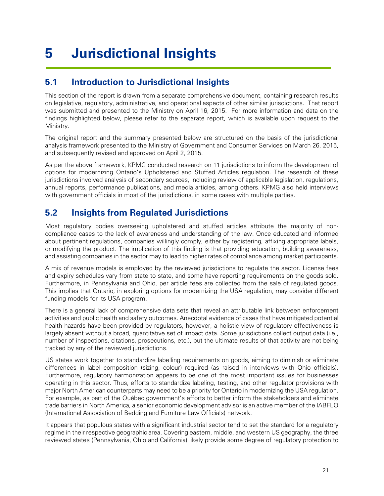## <span id="page-23-0"></span>**5 Jurisdictional Insights**

### <span id="page-23-1"></span>**5.1 Introduction to Jurisdictional Insights**

This section of the report is drawn from a separate comprehensive document, containing research results on legislative, regulatory, administrative, and operational aspects of other similar jurisdictions. That report was submitted and presented to the Ministry on April 16, 2015. For more information and data on the findings highlighted below, please refer to the separate report, which is available upon request to the Ministry.

The original report and the summary presented below are structured on the basis of the jurisdictional analysis framework presented to the Ministry of Government and Consumer Services on March 26, 2015, and subsequently revised and approved on April 2, 2015.

As per the above framework, KPMG conducted research on 11 jurisdictions to inform the development of options for modernizing Ontario's Upholstered and Stuffed Articles regulation. The research of these jurisdictions involved analysis of secondary sources, including review of applicable legislation, regulations, annual reports, performance publications, and media articles, among others. KPMG also held interviews with government officials in most of the jurisdictions, in some cases with multiple parties.

### <span id="page-23-2"></span>**5.2 Insights from Regulated Jurisdictions**

Most regulatory bodies overseeing upholstered and stuffed articles attribute the majority of noncompliance cases to the lack of awareness and understanding of the law. Once educated and informed about pertinent regulations, companies willingly comply, either by registering, affixing appropriate labels, or modifying the product. The implication of this finding is that providing education, building awareness, and assisting companies in the sector may to lead to higher rates of compliance among market participants.

A mix of revenue models is employed by the reviewed jurisdictions to regulate the sector. License fees and expiry schedules vary from state to state, and some have reporting requirements on the goods sold. Furthermore, in Pennsylvania and Ohio, per article fees are collected from the sale of regulated goods. This implies that Ontario, in exploring options for modernizing the USA regulation, may consider different funding models for its USA program.

There is a general lack of comprehensive data sets that reveal an attributable link between enforcement activities and public health and safety outcomes. Anecdotal evidence of cases that have mitigated potential health hazards have been provided by regulators, however, a holistic view of regulatory effectiveness is largely absent without a broad, quantitative set of impact data. Some jurisdictions collect output data (i.e., number of inspections, citations, prosecutions, etc.), but the ultimate results of that activity are not being tracked by any of the reviewed jurisdictions.

US states work together to standardize labelling requirements on goods, aiming to diminish or eliminate differences in label composition (sizing, colour) required (as raised in interviews with Ohio officials). Furthermore, regulatory harmonization appears to be one of the most important issues for businesses operating in this sector. Thus, efforts to standardize labeling, testing, and other regulator provisions with major North American counterparts may need to be a priority for Ontario in modernizing the USA regulation. For example, as part of the Québec government's efforts to better inform the stakeholders and eliminate trade barriers in North America, a senior economic development advisor is an active member of the IABFLO (International Association of Bedding and Furniture Law Officials) network.

It appears that populous states with a significant industrial sector tend to set the standard for a regulatory regime in their respective geographic area. Covering eastern, middle, and western US geography, the three reviewed states (Pennsylvania, Ohio and California) likely provide some degree of regulatory protection to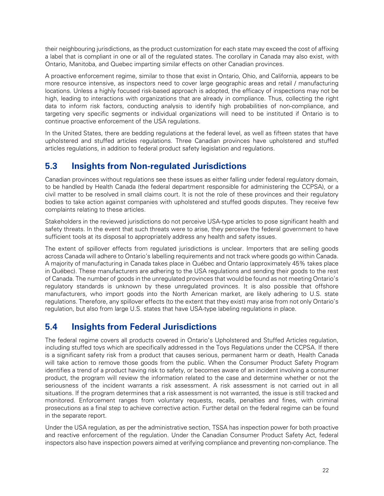their neighbouring jurisdictions, as the product customization for each state may exceed the cost of affixing a label that is compliant in one or all of the regulated states. The corollary in Canada may also exist, with Ontario, Manitoba, and Quebec imparting similar effects on other Canadian provinces.

A proactive enforcement regime, similar to those that exist in Ontario, Ohio, and California, appears to be more resource intensive, as inspectors need to cover large geographic areas and retail / manufacturing locations. Unless a highly focused risk-based approach is adopted, the efficacy of inspections may not be high, leading to interactions with organizations that are already in compliance. Thus, collecting the right data to inform risk factors, conducting analysis to identify high probabilities of non-compliance, and targeting very specific segments or individual organizations will need to be instituted if Ontario is to continue proactive enforcement of the USA regulations.

In the United States, there are bedding regulations at the federal level, as well as fifteen states that have upholstered and stuffed articles regulations. Three Canadian provinces have upholstered and stuffed articles regulations, in addition to federal product safety legislation and regulations.

### <span id="page-24-0"></span>**5.3 Insights from Non-regulated Jurisdictions**

Canadian provinces without regulations see these issues as either falling under federal regulatory domain, to be handled by Health Canada (the federal department responsible for administering the CCPSA), or a civil matter to be resolved in small claims court. It is not the role of these provinces and their regulatory bodies to take action against companies with upholstered and stuffed goods disputes. They receive few complaints relating to these articles.

Stakeholders in the reviewed jurisdictions do not perceive USA-type articles to pose significant health and safety threats. In the event that such threats were to arise, they perceive the federal government to have sufficient tools at its disposal to appropriately address any health and safety issues.

The extent of spillover effects from regulated jurisdictions is unclear. Importers that are selling goods across Canada will adhere to Ontario's labelling requirements and not track where goods go within Canada. A majority of manufacturing in Canada takes place in Québec and Ontario (approximately 45% takes place in Québec). These manufacturers are adhering to the USA regulations and sending their goods to the rest of Canada. The number of goods in the unregulated provinces that would be found as not meeting Ontario's regulatory standards is unknown by these unregulated provinces. It is also possible that offshore manufacturers, who import goods into the North American market, are likely adhering to U.S. state regulations. Therefore, any spillover effects (to the extent that they exist) may arise from not only Ontario's regulation, but also from large U.S. states that have USA-type labeling regulations in place.

### <span id="page-24-1"></span>**5.4 Insights from Federal Jurisdictions**

The federal regime covers all products covered in Ontario's Upholstered and Stuffed Articles regulation, including stuffed toys which are specifically addressed in the Toys Regulations under the CCPSA. If there is a significant safety risk from a product that causes serious, permanent harm or death, Health Canada will take action to remove those goods from the public. When the Consumer Product Safety Program identifies a trend of a product having risk to safety, or becomes aware of an incident involving a consumer product, the program will review the information related to the case and determine whether or not the seriousness of the incident warrants a risk assessment. A risk assessment is not carried out in all situations. If the program determines that a risk assessment is not warranted, the issue is still tracked and monitored. Enforcement ranges from voluntary requests, recalls, penalties and fines, with criminal prosecutions as a final step to achieve corrective action. Further detail on the federal regime can be found in the separate report.

Under the USA regulation, as per the administrative section, TSSA has inspection power for both proactive and reactive enforcement of the regulation. Under the Canadian Consumer Product Safety Act, federal inspectors also have inspection powers aimed at verifying compliance and preventing non-compliance. The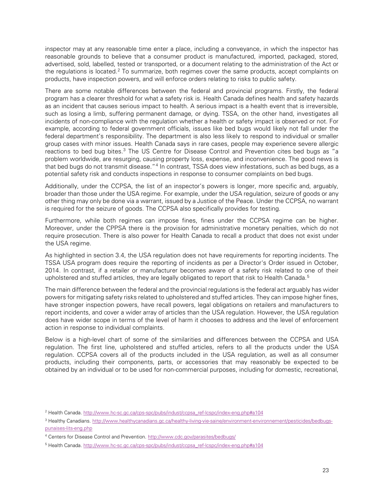inspector may at any reasonable time enter a place, including a conveyance, in which the inspector has reasonable grounds to believe that a consumer product is manufactured, imported, packaged, stored, advertised, sold, labelled, tested or transported, or a document relating to the administration of the Act or the regulations is located.<sup>[2](#page-25-0)</sup> To summarize, both regimes cover the same products, accept complaints on products, have inspection powers, and will enforce orders relating to risks to public safety.

There are some notable differences between the federal and provincial programs. Firstly, the federal program has a clearer threshold for what a safety risk is. Health Canada defines health and safety hazards as an incident that causes serious impact to health. A serious impact is a health event that is irreversible, such as losing a limb, suffering permanent damage, or dying. TSSA, on the other hand, investigates all incidents of non-compliance with the regulation whether a health or safety impact is observed or not. For example, according to federal government officials, issues like bed bugs would likely not fall under the federal department's responsibility. The department is also less likely to respond to individual or smaller group cases with minor issues. Health Canada says in rare cases, people may experience severe allergic reactions to bed bug bites.<sup>[3](#page-25-1)</sup> The US Centre for Disease Control and Prevention cites bed bugs as "a problem worldwide, are resurging, causing property loss, expense, and inconvenience. The good news is that bed bugs do not transmit disease."<sup>[4](#page-25-2)</sup> In contrast, TSSA does view infestations, such as bed bugs, as a potential safety risk and conducts inspections in response to consumer complaints on bed bugs.

Additionally, under the CCPSA, the list of an inspector's powers is longer, more specific and, arguably, broader than those under the USA regime. For example, under the USA regulation, seizure of goods or any other thing may only be done via a warrant, issued by a Justice of the Peace. Under the CCPSA, no warrant is required for the seizure of goods. The CCPSA also specifically provides for testing.

Furthermore, while both regimes can impose fines, fines under the CCPSA regime can be higher. Moreover, under the CPPSA there is the provision for administrative monetary penalties, which do not require prosecution. There is also power for Health Canada to recall a product that does not exist under the USA regime.

As highlighted in section 3.4, the USA regulation does not have requirements for reporting incidents. The TSSA USA program does require the reporting of incidents as per a Director's Order issued in October, 2014. In contrast, if a retailer or manufacturer becomes aware of a safety risk related to one of their upholstered and stuffed articles, they are legally obligated to report that risk to Health Canada. $^{\rm 5}$  $^{\rm 5}$  $^{\rm 5}$ 

The main difference between the federal and the provincial regulations is the federal act arguably has wider powers for mitigating safety risks related to upholstered and stuffed articles. They can impose higher fines, have stronger inspection powers, have recall powers, legal obligations on retailers and manufacturers to report incidents, and cover a wider array of articles than the USA regulation. However, the USA regulation does have wider scope in terms of the level of harm it chooses to address and the level of enforcement action in response to individual complaints.

Below is a high-level chart of some of the similarities and differences between the CCPSA and USA regulation. The first line, upholstered and stuffed articles, refers to all the products under the USA regulation. CCPSA covers all of the products included in the USA regulation, as well as all consumer products, including their components, parts, or accessories that may reasonably be expected to be obtained by an individual or to be used for non-commercial purposes, including for domestic, recreational,

<span id="page-25-0"></span><sup>2</sup> Health Canada. [http://www.hc-sc.gc.ca/cps-spc/pubs/indust/ccpsa\\_ref-lcspc/index-eng.php#a104](http://www.hc-sc.gc.ca/cps-spc/pubs/indust/ccpsa_ref-lcspc/index-eng.php%23a104)

<span id="page-25-1"></span><sup>&</sup>lt;sup>3</sup> Healthy Canadians[. http://www.healthycanadians.gc.ca/healthy-living-vie-saine/environment-environnement/pesticides/bedbugs](http://www.healthycanadians.gc.ca/healthy-living-vie-saine/environment-environnement/pesticides/bedbugs-punaises-lits-eng.php)[punaises-lits-eng.php](http://www.healthycanadians.gc.ca/healthy-living-vie-saine/environment-environnement/pesticides/bedbugs-punaises-lits-eng.php)

<span id="page-25-2"></span><sup>&</sup>lt;sup>4</sup> Centers for Disease Control and Prevention[. http://www.cdc.gov/parasites/bedbugs/](http://www.cdc.gov/parasites/bedbugs/)

<span id="page-25-3"></span><sup>5</sup> Health Canada. [http://www.hc-sc.gc.ca/cps-spc/pubs/indust/ccpsa\\_ref-lcspc/index-eng.php#a104](http://www.hc-sc.gc.ca/cps-spc/pubs/indust/ccpsa_ref-lcspc/index-eng.php%23a104)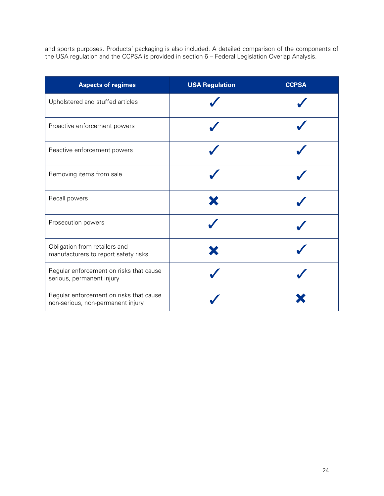and sports purposes. Products' packaging is also included. A detailed comparison of the components of the USA regulation and the CCPSA is provided in section 6 – Federal Legislation Overlap Analysis.

| <b>Aspects of regimes</b>                                                    | <b>USA Regulation</b> | <b>CCPSA</b> |
|------------------------------------------------------------------------------|-----------------------|--------------|
| Upholstered and stuffed articles                                             |                       |              |
| Proactive enforcement powers                                                 |                       |              |
| Reactive enforcement powers                                                  |                       |              |
| Removing items from sale                                                     |                       |              |
| Recall powers                                                                |                       |              |
| Prosecution powers                                                           |                       |              |
| Obligation from retailers and<br>manufacturers to report safety risks        |                       |              |
| Regular enforcement on risks that cause<br>serious, permanent injury         |                       |              |
| Regular enforcement on risks that cause<br>non-serious, non-permanent injury |                       |              |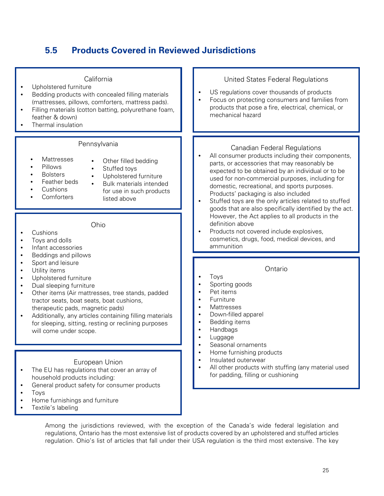## <span id="page-27-0"></span>**5.5 Products Covered in Reviewed Jurisdictions**

| California<br>Upholstered furniture<br>Bedding products with concealed filling materials<br>(mattresses, pillows, comforters, mattress pads).<br>Filling materials (cotton batting, polyurethane foam,<br>feather & down)<br>Thermal insulation                                                                                                                                                  | United States Federal Regulations<br>US regulations cover thousands of products<br>Focus on protecting consumers and families from<br>products that pose a fire, electrical, chemical, or<br>mechanical hazard                                                                                                                                                                                                                                               |
|--------------------------------------------------------------------------------------------------------------------------------------------------------------------------------------------------------------------------------------------------------------------------------------------------------------------------------------------------------------------------------------------------|--------------------------------------------------------------------------------------------------------------------------------------------------------------------------------------------------------------------------------------------------------------------------------------------------------------------------------------------------------------------------------------------------------------------------------------------------------------|
| Pennsylvania<br>Mattresses<br>Other filled bedding<br>Pillows<br>Stuffed toys<br><b>Bolsters</b><br>Upholstered furniture<br>Feather beds<br><b>Bulk materials intended</b><br>Cushions<br>for use in such products<br>Comforters<br>listed above                                                                                                                                                | <b>Canadian Federal Regulations</b><br>All consumer products including their components,<br>parts, or accessories that may reasonably be<br>expected to be obtained by an individual or to be<br>used for non-commercial purposes, including for<br>domestic, recreational, and sports purposes.<br>Products' packaging is also included<br>Stuffed toys are the only articles related to stuffed<br>goods that are also specifically identified by the act. |
| Ohio<br>Cushions<br>Toys and dolls<br>Infant accessories                                                                                                                                                                                                                                                                                                                                         | However, the Act applies to all products in the<br>definition above<br>Products not covered include explosives,<br>cosmetics, drugs, food, medical devices, and<br>ammunition                                                                                                                                                                                                                                                                                |
| Beddings and pillows<br>Sport and leisure<br>Utility items<br>Upholstered furniture<br>Dual sleeping furniture<br>Other items (Air mattresses, tree stands, padded<br>tractor seats, boat seats, boat cushions,<br>therapeutic pads, magnetic pads)<br>Additionally, any articles containing filling materials<br>for sleeping, sitting, resting or reclining purposes<br>will come under scope. | Ontario<br>Toys<br>Sporting goods<br>Pet items<br>Furniture<br>Mattresses<br>Down-filled apparel<br>$\bullet$<br>Bedding items<br>Handbags<br>Luggage<br>Seasonal ornaments                                                                                                                                                                                                                                                                                  |
| European Union<br>The EU has regulations that cover an array of<br>household products including:<br>General product safety for consumer products<br>Toys<br>Home furnishings and furniture                                                                                                                                                                                                       | Home furnishing products<br>$\bullet$<br>Insulated outerwear<br>$\bullet$<br>All other products with stuffing (any material used<br>for padding, filling or cushioning                                                                                                                                                                                                                                                                                       |

Among the jurisdictions reviewed, with the exception of the Canada's wide federal legislation and regulations, Ontario has the most extensive list of products covered by an upholstered and stuffed articles regulation. Ohio's list of articles that fall under their USA regulation is the third most extensive. The key

• Textile's labeling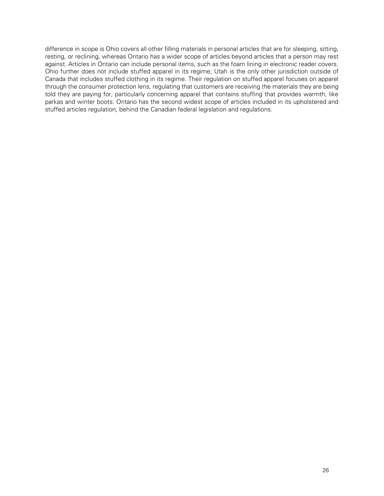difference in scope is Ohio covers all other filling materials in personal articles that are for sleeping, sitting, resting, or reclining, whereas Ontario has a wider scope of articles beyond articles that a person may rest against. Articles in Ontario can include personal items, such as the foam lining in electronic reader covers. Ohio further does not include stuffed apparel in its regime; Utah is the only other jurisdiction outside of Canada that includes stuffed clothing in its regime. Their regulation on stuffed apparel focuses on apparel through the consumer protection lens, regulating that customers are receiving the materials they are being told they are paying for, particularly concerning apparel that contains stuffing that provides warmth, like parkas and winter boots. Ontario has the second widest scope of articles included in its upholstered and stuffed articles regulation, behind the Canadian federal legislation and regulations.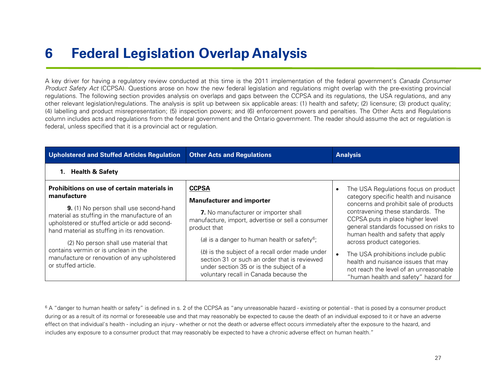## <span id="page-29-1"></span>**6 Federal Legislation Overlap Analysis**

A key driver for having a regulatory review conducted at this time is the 2011 implementation of the federal government's Canada Consumer Product Safety Act (CCPSA). Questions arose on how the new federal legislation and regulations might overlap with the pre-existing provincial regulations. The following section provides analysis on overlaps and gaps between the CCPSA and its regulations, the USA regulations, and any other relevant legislation/regulations. The analysis is split up between six applicable areas: (1) health and safety; (2) licensure; (3) product quality; (4) labelling and product misrepresentation; (5) inspection powers; and (6) enforcement powers and penalties. The Other Acts and Regulations column includes acts and regulations from the federal government and the Ontario government. The reader should assume the act or regulation is federal, unless specified that it is a provincial act or regulation.

<span id="page-29-0"></span>

| Upholstered and Stuffed Articles Regulation<br><b>Other Acts and Regulations</b>                                                                                                                |                                                                                                                                                                                      | <b>Analysis</b>                                                                                                                                              |  |
|-------------------------------------------------------------------------------------------------------------------------------------------------------------------------------------------------|--------------------------------------------------------------------------------------------------------------------------------------------------------------------------------------|--------------------------------------------------------------------------------------------------------------------------------------------------------------|--|
| <b>Health &amp; Safety</b><br>1.                                                                                                                                                                |                                                                                                                                                                                      |                                                                                                                                                              |  |
| <b>Prohibitions on use of certain materials in</b><br>manufacture                                                                                                                               | <b>CCPSA</b>                                                                                                                                                                         | The USA Regulations focus on product<br>category specific health and nuisance                                                                                |  |
|                                                                                                                                                                                                 | <b>Manufacturer and importer</b>                                                                                                                                                     | concerns and prohibit sale of products                                                                                                                       |  |
| <b>9.</b> (1) No person shall use second-hand<br>material as stuffing in the manufacture of an<br>upholstered or stuffed article or add second-<br>hand material as stuffing in its renovation. | 7. No manufacturer or importer shall<br>manufacture, import, advertise or sell a consumer<br>product that                                                                            | contravening these standards. The<br>CCPSA puts in place higher level<br>general standards focussed on risks to                                              |  |
| (2) No person shall use material that                                                                                                                                                           | (a) is a danger to human health or safety <sup>6</sup> ;                                                                                                                             | human health and safety that apply<br>across product categories.                                                                                             |  |
| contains vermin or is unclean in the<br>manufacture or renovation of any upholstered<br>or stuffed article.                                                                                     | (b) is the subject of a recall order made under<br>section 31 or such an order that is reviewed<br>under section 35 or is the subject of a<br>voluntary recall in Canada because the | The USA prohibitions include public<br>health and nuisance issues that may<br>not reach the level of an unreasonable<br>"human health and safety" hazard for |  |

<sup>6</sup> A "danger to human health or safety" is defined in s. 2 of the CCPSA as "any unreasonable hazard - existing or potential - that is posed by a consumer product during or as a result of its normal or foreseeable use and that may reasonably be expected to cause the death of an individual exposed to it or have an adverse effect on that individual's health - including an injury - whether or not the death or adverse effect occurs immediately after the exposure to the hazard, and includes any exposure to a consumer product that may reasonably be expected to have a chronic adverse effect on human health."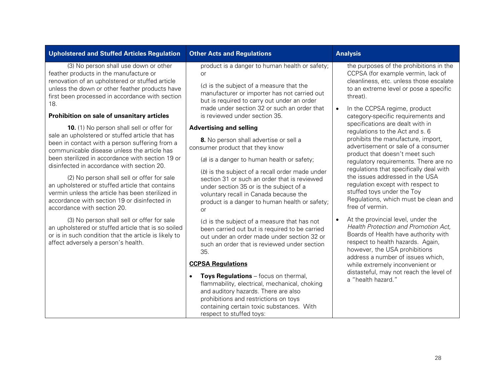### **Upholstered and Stuffed Articles Regulation Other Acts and Regulations Analysis Analysis**

(3) No person shall use down or other feather products in the manufacture or renovation of an upholstered or stuffed article unless the down or other feather products have first been processed in accordance with section 18.

#### **Prohibition on sale of unsanitary articles**

**10.** (1) No person shall sell or offer for sale an upholstered or stuffed article that has been in contact with a person suffering from a communicable disease unless the article has been sterilized in accordance with section 19 or disinfected in accordance with section 20.

(2) No person shall sell or offer for sale an upholstered or stuffed article that contains vermin unless the article has been sterilized in accordance with section 19 or disinfected in accordance with section 20.

(3) No person shall sell or offer for sale an upholstered or stuffed article that is so soiled or is in such condition that the article is likely to affect adversely a person's health.

product is a danger to human health or safety; or

(c) is the subject of a measure that the manufacturer or importer has not carried out but is required to carry out under an order made under section 32 or such an order that is reviewed under section 35.

#### **Advertising and selling**

**8.** No person shall advertise or sell a consumer product that they know

(a) is a danger to human health or safety;

(b) is the subject of a recall order made under section 31 or such an order that is reviewed under section 35 or is the subject of a voluntary recall in Canada because the product is a danger to human health or safety; or

(c) is the subject of a measure that has not been carried out but is required to be carried out under an order made under section 32 or such an order that is reviewed under section 35.

### **CCPSA Regulations**

• **Toys Regulations** – focus on thermal, flammability, electrical, mechanical, choking and auditory hazards. There are also prohibitions and restrictions on toys containing certain toxic substances. With respect to stuffed toys:

the purposes of the prohibitions in the CCPSA (for example vermin, lack of cleanliness, etc. unless those escalate to an extreme level or pose a specific threat).

- In the CCPSA regime, product category-specific requirements and specifications are dealt with in regulations to the Act and s. 6 prohibits the manufacture, import, advertisement or sale of a consumer product that doesn't meet such regulatory requirements. There are no regulations that specifically deal with the issues addressed in the USA regulation except with respect to stuffed toys under the Toy Regulations, which must be clean and free of vermin.
- At the provincial level, under the Health Protection and Promotion Act, Boards of Health have authority with respect to health hazards. Again, however, the USA prohibitions address a number of issues which, while extremely inconvenient or distasteful, may not reach the level of a "health hazard."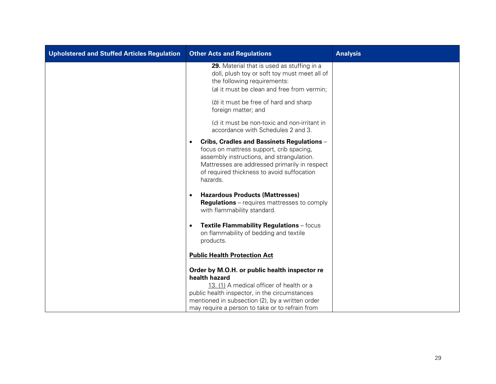| <b>Upholstered and Stuffed Articles Regulation</b> | <b>Other Acts and Regulations</b>                                                                                                                                                                                                                                 | <b>Analysis</b> |
|----------------------------------------------------|-------------------------------------------------------------------------------------------------------------------------------------------------------------------------------------------------------------------------------------------------------------------|-----------------|
|                                                    | 29. Material that is used as stuffing in a<br>doll, plush toy or soft toy must meet all of<br>the following requirements:<br>(a) it must be clean and free from vermin;<br>(b) it must be free of hard and sharp<br>foreign matter; and                           |                 |
|                                                    | (c) it must be non-toxic and non-irritant in<br>accordance with Schedules 2 and 3.                                                                                                                                                                                |                 |
|                                                    | Cribs, Cradles and Bassinets Regulations -<br>focus on mattress support, crib spacing,<br>assembly instructions, and strangulation.<br>Mattresses are addressed primarily in respect<br>of required thickness to avoid suffocation<br>hazards.                    |                 |
|                                                    | <b>Hazardous Products (Mattresses)</b><br><b>Regulations</b> – requires mattresses to comply<br>with flammability standard.                                                                                                                                       |                 |
|                                                    | Textile Flammability Regulations - focus<br>on flammability of bedding and textile<br>products.                                                                                                                                                                   |                 |
|                                                    | <b>Public Health Protection Act</b>                                                                                                                                                                                                                               |                 |
|                                                    | Order by M.O.H. or public health inspector re<br>health hazard<br>13. (1) A medical officer of health or a<br>public health inspector, in the circumstances<br>mentioned in subsection (2), by a written order<br>may require a person to take or to refrain from |                 |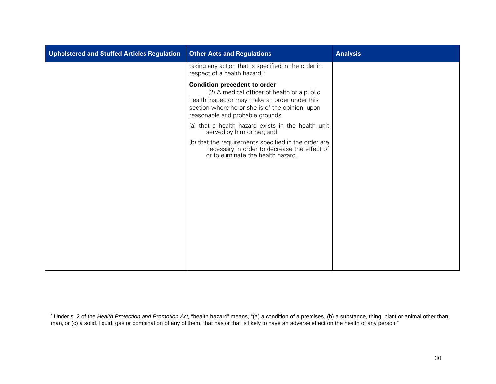<span id="page-32-0"></span>

| Upholstered and Stuffed Articles Regulation | <b>Other Acts and Regulations</b>                                                                                                                                                                                          | <b>Analysis</b> |
|---------------------------------------------|----------------------------------------------------------------------------------------------------------------------------------------------------------------------------------------------------------------------------|-----------------|
|                                             | taking any action that is specified in the order in<br>respect of a health hazard. <sup>7</sup>                                                                                                                            |                 |
|                                             | <b>Condition precedent to order</b><br>(2) A medical officer of health or a public<br>health inspector may make an order under this<br>section where he or she is of the opinion, upon<br>reasonable and probable grounds, |                 |
|                                             | (a) that a health hazard exists in the health unit<br>served by him or her; and                                                                                                                                            |                 |
|                                             | (b) that the requirements specified in the order are<br>necessary in order to decrease the effect of<br>or to eliminate the health hazard.                                                                                 |                 |
|                                             |                                                                                                                                                                                                                            |                 |
|                                             |                                                                                                                                                                                                                            |                 |
|                                             |                                                                                                                                                                                                                            |                 |
|                                             |                                                                                                                                                                                                                            |                 |
|                                             |                                                                                                                                                                                                                            |                 |

<sup>7</sup> Under s. 2 of the *Health Protection and Promotion Act,* "health hazard" means, "(a) a condition of a premises, (b) a substance, thing, plant or animal other than man, or (c) a solid, liquid, gas or combination of any of them, that has or that is likely to have an adverse effect on the health of any person."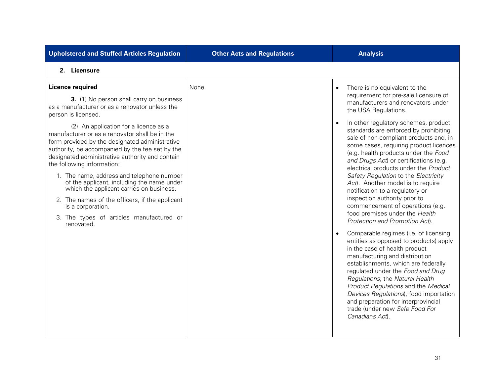| <b>Upholstered and Stuffed Articles Regulation</b>                                                                                                                                                                                                                                                                                                                                                                                                                                                                                                    | <b>Other Acts and Regulations</b> | <b>Analysis</b>                                                                                                                                                                                                                                                                                                                                                                                                                                                                                                                                                    |
|-------------------------------------------------------------------------------------------------------------------------------------------------------------------------------------------------------------------------------------------------------------------------------------------------------------------------------------------------------------------------------------------------------------------------------------------------------------------------------------------------------------------------------------------------------|-----------------------------------|--------------------------------------------------------------------------------------------------------------------------------------------------------------------------------------------------------------------------------------------------------------------------------------------------------------------------------------------------------------------------------------------------------------------------------------------------------------------------------------------------------------------------------------------------------------------|
| 2. Licensure                                                                                                                                                                                                                                                                                                                                                                                                                                                                                                                                          |                                   |                                                                                                                                                                                                                                                                                                                                                                                                                                                                                                                                                                    |
| <b>Licence required</b><br>3. (1) No person shall carry on business<br>as a manufacturer or as a renovator unless the<br>person is licensed.                                                                                                                                                                                                                                                                                                                                                                                                          | None                              | There is no equivalent to the<br>$\bullet$<br>requirement for pre-sale licensure of<br>manufacturers and renovators under<br>the USA Regulations.                                                                                                                                                                                                                                                                                                                                                                                                                  |
| (2) An application for a licence as a<br>manufacturer or as a renovator shall be in the<br>form provided by the designated administrative<br>authority, be accompanied by the fee set by the<br>designated administrative authority and contain<br>the following information:<br>1. The name, address and telephone number<br>of the applicant, including the name under<br>which the applicant carries on business.<br>2. The names of the officers, if the applicant<br>is a corporation.<br>3. The types of articles manufactured or<br>renovated. |                                   | In other regulatory schemes, product<br>$\bullet$<br>standards are enforced by prohibiting<br>sale of non-compliant products and, in<br>some cases, requiring product licences<br>(e.g. health products under the Food<br>and Drugs Act) or certifications (e.g.<br>electrical products under the Product<br>Safety Regulation to the Electricity<br>Act). Another model is to require<br>notification to a regulatory or<br>inspection authority prior to<br>commencement of operations (e.g.<br>food premises under the Health<br>Protection and Promotion Act). |
|                                                                                                                                                                                                                                                                                                                                                                                                                                                                                                                                                       |                                   | Comparable regimes (i.e. of licensing<br>entities as opposed to products) apply<br>in the case of health product<br>manufacturing and distribution<br>establishments, which are federally<br>regulated under the Food and Drug<br>Regulations, the Natural Health<br>Product Regulations and the Medical<br>Devices Regulations), food importation<br>and preparation for interprovincial<br>trade (under new Safe Food For<br>Canadians Act).                                                                                                                     |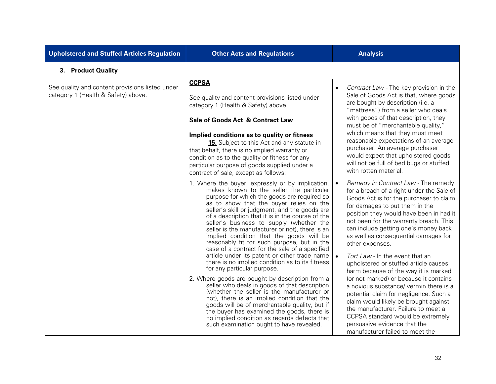| <b>Upholstered and Stuffed Articles Regulation</b>                                     | <b>Other Acts and Regulations</b>                                                                                                                                                                                                                                                                                                                                                                                                                                                                                                       | <b>Analysis</b>                                                                                                                                                                                                                                                                                                                                       |
|----------------------------------------------------------------------------------------|-----------------------------------------------------------------------------------------------------------------------------------------------------------------------------------------------------------------------------------------------------------------------------------------------------------------------------------------------------------------------------------------------------------------------------------------------------------------------------------------------------------------------------------------|-------------------------------------------------------------------------------------------------------------------------------------------------------------------------------------------------------------------------------------------------------------------------------------------------------------------------------------------------------|
| 3. Product Quality                                                                     |                                                                                                                                                                                                                                                                                                                                                                                                                                                                                                                                         |                                                                                                                                                                                                                                                                                                                                                       |
| See quality and content provisions listed under<br>category 1 (Health & Safety) above. | <b>CCPSA</b><br>See quality and content provisions listed under<br>category 1 (Health & Safety) above.<br><b>Sale of Goods Act &amp; Contract Law</b><br>Implied conditions as to quality or fitness<br>15. Subject to this Act and any statute in                                                                                                                                                                                                                                                                                      | Contract Law - The key provision in the<br>$\bullet$<br>Sale of Goods Act is that, where goods<br>are bought by description (i.e. a<br>"mattress") from a seller who deals<br>with goods of that description, they<br>must be of "merchantable quality,"<br>which means that they must meet<br>reasonable expectations of an average                  |
|                                                                                        | that behalf, there is no implied warranty or<br>condition as to the quality or fitness for any<br>particular purpose of goods supplied under a<br>contract of sale, except as follows:                                                                                                                                                                                                                                                                                                                                                  | purchaser. An average purchaser<br>would expect that upholstered goods<br>will not be full of bed bugs or stuffed<br>with rotten material.                                                                                                                                                                                                            |
|                                                                                        | 1. Where the buyer, expressly or by implication,<br>makes known to the seller the particular<br>purpose for which the goods are required so<br>as to show that the buyer relies on the<br>seller's skill or judgment, and the goods are<br>of a description that it is in the course of the<br>seller's business to supply (whether the<br>seller is the manufacturer or not), there is an<br>implied condition that the goods will be<br>reasonably fit for such purpose, but in the<br>case of a contract for the sale of a specified | Remedy in Contract Law - The remedy<br>for a breach of a right under the Sale of<br>Goods Act is for the purchaser to claim<br>for damages to put them in the<br>position they would have been in had it<br>not been for the warranty breach. This<br>can include getting one's money back<br>as well as consequential damages for<br>other expenses. |
|                                                                                        | article under its patent or other trade name<br>there is no implied condition as to its fitness<br>for any particular purpose.                                                                                                                                                                                                                                                                                                                                                                                                          | Tort Law - In the event that an<br>upholstered or stuffed article causes<br>harm because of the way it is marked                                                                                                                                                                                                                                      |
|                                                                                        | 2. Where goods are bought by description from a<br>seller who deals in goods of that description<br>(whether the seller is the manufacturer or<br>not), there is an implied condition that the<br>goods will be of merchantable quality, but if<br>the buyer has examined the goods, there is<br>no implied condition as regards defects that<br>such examination ought to have revealed.                                                                                                                                               | (or not marked) or because it contains<br>a noxious substance/ vermin there is a<br>potential claim for negligence. Such a<br>claim would likely be brought against<br>the manufacturer. Failure to meet a<br>CCPSA standard would be extremely<br>persuasive evidence that the<br>manufacturer failed to meet the                                    |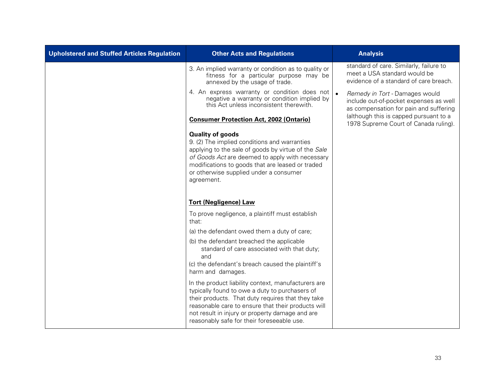| <b>Upholstered and Stuffed Articles Regulation</b> | <b>Other Acts and Regulations</b>                                                                                                                                                                                                                                                                                 |           | <b>Analysis</b>                                                                                                    |
|----------------------------------------------------|-------------------------------------------------------------------------------------------------------------------------------------------------------------------------------------------------------------------------------------------------------------------------------------------------------------------|-----------|--------------------------------------------------------------------------------------------------------------------|
|                                                    | 3. An implied warranty or condition as to quality or<br>fitness for a particular purpose may be<br>annexed by the usage of trade.                                                                                                                                                                                 |           | standard of care. Similarly, failure to<br>meet a USA standard would be<br>evidence of a standard of care breach.  |
|                                                    | 4. An express warranty or condition does not<br>negative a warranty or condition implied by<br>this Act unless inconsistent therewith.                                                                                                                                                                            | $\bullet$ | Remedy in Tort - Damages would<br>include out-of-pocket expenses as well<br>as compensation for pain and suffering |
|                                                    | <b>Consumer Protection Act, 2002 (Ontario)</b>                                                                                                                                                                                                                                                                    |           | (although this is capped pursuant to a<br>1978 Supreme Court of Canada ruling).                                    |
|                                                    | <b>Quality of goods</b><br>9. (2) The implied conditions and warranties<br>applying to the sale of goods by virtue of the Sale<br>of Goods Act are deemed to apply with necessary<br>modifications to goods that are leased or traded<br>or otherwise supplied under a consumer<br>agreement.                     |           |                                                                                                                    |
|                                                    | <b>Tort (Negligence) Law</b>                                                                                                                                                                                                                                                                                      |           |                                                                                                                    |
|                                                    | To prove negligence, a plaintiff must establish<br>that:                                                                                                                                                                                                                                                          |           |                                                                                                                    |
|                                                    | (a) the defendant owed them a duty of care;                                                                                                                                                                                                                                                                       |           |                                                                                                                    |
|                                                    | (b) the defendant breached the applicable<br>standard of care associated with that duty;<br>and<br>(c) the defendant's breach caused the plaintiff's<br>harm and damages.                                                                                                                                         |           |                                                                                                                    |
|                                                    | In the product liability context, manufacturers are<br>typically found to owe a duty to purchasers of<br>their products. That duty requires that they take<br>reasonable care to ensure that their products will<br>not result in injury or property damage and are<br>reasonably safe for their foreseeable use. |           |                                                                                                                    |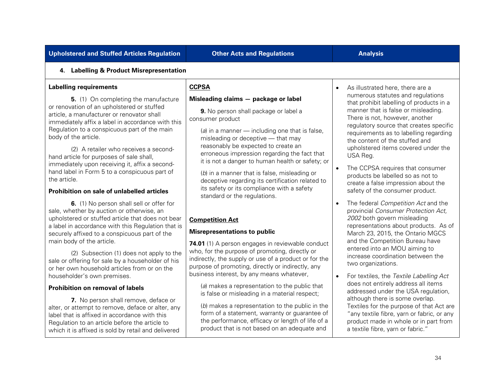| <b>Upholstered and Stuffed Articles Regulation</b>                                                                                                                                                                                                                                                                                                                                                                                                                                                                                                                                                                                                                                                                                                                                                                                                                                                                                                                                                                     | <b>Other Acts and Regulations</b>                                                                                                                                                                                                                                                                                                                                                                                                                                                                                                                                                                                                                                                                                                                                                                                                                                                                                           | <b>Analysis</b>                                                                                                                                                                                                                                                                                                                                                                                                                                                                                                                                                                                                                                                                                                                                                                                                                                                                                                                    |
|------------------------------------------------------------------------------------------------------------------------------------------------------------------------------------------------------------------------------------------------------------------------------------------------------------------------------------------------------------------------------------------------------------------------------------------------------------------------------------------------------------------------------------------------------------------------------------------------------------------------------------------------------------------------------------------------------------------------------------------------------------------------------------------------------------------------------------------------------------------------------------------------------------------------------------------------------------------------------------------------------------------------|-----------------------------------------------------------------------------------------------------------------------------------------------------------------------------------------------------------------------------------------------------------------------------------------------------------------------------------------------------------------------------------------------------------------------------------------------------------------------------------------------------------------------------------------------------------------------------------------------------------------------------------------------------------------------------------------------------------------------------------------------------------------------------------------------------------------------------------------------------------------------------------------------------------------------------|------------------------------------------------------------------------------------------------------------------------------------------------------------------------------------------------------------------------------------------------------------------------------------------------------------------------------------------------------------------------------------------------------------------------------------------------------------------------------------------------------------------------------------------------------------------------------------------------------------------------------------------------------------------------------------------------------------------------------------------------------------------------------------------------------------------------------------------------------------------------------------------------------------------------------------|
| 4. Labelling & Product Misrepresentation                                                                                                                                                                                                                                                                                                                                                                                                                                                                                                                                                                                                                                                                                                                                                                                                                                                                                                                                                                               |                                                                                                                                                                                                                                                                                                                                                                                                                                                                                                                                                                                                                                                                                                                                                                                                                                                                                                                             |                                                                                                                                                                                                                                                                                                                                                                                                                                                                                                                                                                                                                                                                                                                                                                                                                                                                                                                                    |
| <b>Labelling requirements</b><br>5. (1) On completing the manufacture<br>or renovation of an upholstered or stuffed<br>article, a manufacturer or renovator shall<br>immediately affix a label in accordance with this<br>Regulation to a conspicuous part of the main<br>body of the article.<br>(2) A retailer who receives a second-<br>hand article for purposes of sale shall,<br>immediately upon receiving it, affix a second-<br>hand label in Form 5 to a conspicuous part of<br>the article.<br>Prohibition on sale of unlabelled articles<br>6. (1) No person shall sell or offer for<br>sale, whether by auction or otherwise, an<br>upholstered or stuffed article that does not bear<br>a label in accordance with this Regulation that is<br>securely affixed to a conspicuous part of the<br>main body of the article.<br>(2) Subsection (1) does not apply to the<br>sale or offering for sale by a householder of his<br>or her own household articles from or on the<br>householder's own premises. | <b>CCPSA</b><br>Misleading claims - package or label<br>9. No person shall package or label a<br>consumer product<br>(a) in a manner $-$ including one that is false,<br>misleading or deceptive - that may<br>reasonably be expected to create an<br>erroneous impression regarding the fact that<br>it is not a danger to human health or safety; or<br>(b) in a manner that is false, misleading or<br>deceptive regarding its certification related to<br>its safety or its compliance with a safety<br>standard or the regulations.<br><b>Competition Act</b><br><b>Misrepresentations to public</b><br>74.01 (1) A person engages in reviewable conduct<br>who, for the purpose of promoting, directly or<br>indirectly, the supply or use of a product or for the<br>purpose of promoting, directly or indirectly, any<br>business interest, by any means whatever,<br>(a) makes a representation to the public that | As illustrated here, there are a<br>numerous statutes and regulations<br>that prohibit labelling of products in a<br>manner that is false or misleading.<br>There is not, however, another<br>regulatory source that creates specific<br>requirements as to labelling regarding<br>the content of the stuffed and<br>upholstered items covered under the<br>USA Reg.<br>The CCPSA requires that consumer<br>products be labelled so as not to<br>create a false impression about the<br>safety of the consumer product.<br>The federal Competition Act and the<br>provincial Consumer Protection Act,<br>2002 both govern misleading<br>representations about products. As of<br>March 23, 2015, the Ontario MGCS<br>and the Competition Bureau have<br>entered into an MOU aiming to<br>increase coordination between the<br>two organizations.<br>For textiles, the Textile Labelling Act<br>does not entirely address all items |
| Prohibition on removal of labels<br>7. No person shall remove, deface or<br>alter, or attempt to remove, deface or alter, any<br>label that is affixed in accordance with this<br>Regulation to an article before the article to<br>which it is affixed is sold by retail and delivered                                                                                                                                                                                                                                                                                                                                                                                                                                                                                                                                                                                                                                                                                                                                | is false or misleading in a material respect;<br>(b) makes a representation to the public in the<br>form of a statement, warranty or guarantee of<br>the performance, efficacy or length of life of a<br>product that is not based on an adequate and                                                                                                                                                                                                                                                                                                                                                                                                                                                                                                                                                                                                                                                                       | addressed under the USA regulation,<br>although there is some overlap.<br>Textiles for the purpose of that Act are<br>"any textile fibre, yarn or fabric, or any<br>product made in whole or in part from<br>a textile fibre, yarn or fabric."                                                                                                                                                                                                                                                                                                                                                                                                                                                                                                                                                                                                                                                                                     |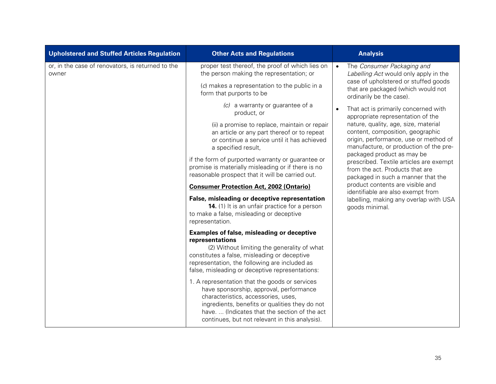| <b>Upholstered and Stuffed Articles Regulation</b>         | <b>Other Acts and Regulations</b>                                                                                                                                                                                                                                                   | <b>Analysis</b>                                                                                                                                             |
|------------------------------------------------------------|-------------------------------------------------------------------------------------------------------------------------------------------------------------------------------------------------------------------------------------------------------------------------------------|-------------------------------------------------------------------------------------------------------------------------------------------------------------|
| or, in the case of renovators, is returned to the<br>owner | proper test thereof, the proof of which lies on<br>the person making the representation; or                                                                                                                                                                                         | The Consumer Packaging and<br>$\bullet$<br>Labelling Act would only apply in the                                                                            |
|                                                            | (c) makes a representation to the public in a<br>form that purports to be                                                                                                                                                                                                           | case of upholstered or stuffed goods<br>that are packaged (which would not<br>ordinarily be the case).                                                      |
|                                                            | (c) a warranty or guarantee of a<br>product, or                                                                                                                                                                                                                                     | That act is primarily concerned with<br>$\bullet$<br>appropriate representation of the                                                                      |
|                                                            | (ii) a promise to replace, maintain or repair<br>an article or any part thereof or to repeat<br>or continue a service until it has achieved<br>a specified result,                                                                                                                  | nature, quality, age, size, material<br>content, composition, geographic<br>origin, performance, use or method of<br>manufacture, or production of the pre- |
|                                                            | if the form of purported warranty or guarantee or<br>promise is materially misleading or if there is no<br>reasonable prospect that it will be carried out.                                                                                                                         | packaged product as may be<br>prescribed. Textile articles are exempt<br>from the act. Products that are<br>packaged in such a manner that the              |
|                                                            | <b>Consumer Protection Act, 2002 (Ontario)</b>                                                                                                                                                                                                                                      | product contents are visible and<br>identifiable are also exempt from                                                                                       |
|                                                            | False, misleading or deceptive representation<br><b>14.</b> (1) It is an unfair practice for a person<br>to make a false, misleading or deceptive<br>representation.                                                                                                                | labelling, making any overlap with USA<br>goods minimal.                                                                                                    |
|                                                            | <b>Examples of false, misleading or deceptive</b><br>representations<br>(2) Without limiting the generality of what<br>constitutes a false, misleading or deceptive<br>representation, the following are included as<br>false, misleading or deceptive representations:             |                                                                                                                                                             |
|                                                            | 1. A representation that the goods or services<br>have sponsorship, approval, performance<br>characteristics, accessories, uses,<br>ingredients, benefits or qualities they do not<br>have (Indicates that the section of the act<br>continues, but not relevant in this analysis). |                                                                                                                                                             |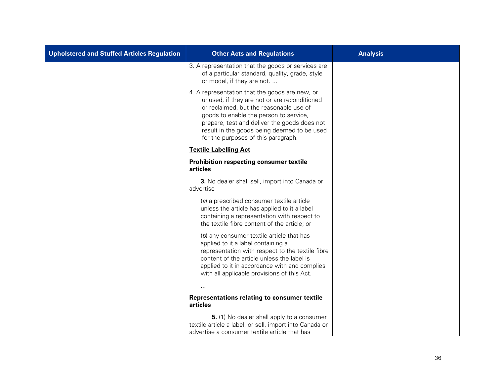| <b>Upholstered and Stuffed Articles Regulation</b> | <b>Other Acts and Regulations</b>                                                                                                                                                                                                                                                                                         | <b>Analysis</b> |
|----------------------------------------------------|---------------------------------------------------------------------------------------------------------------------------------------------------------------------------------------------------------------------------------------------------------------------------------------------------------------------------|-----------------|
|                                                    | 3. A representation that the goods or services are<br>of a particular standard, quality, grade, style<br>or model, if they are not.                                                                                                                                                                                       |                 |
|                                                    | 4. A representation that the goods are new, or<br>unused, if they are not or are reconditioned<br>or reclaimed, but the reasonable use of<br>goods to enable the person to service,<br>prepare, test and deliver the goods does not<br>result in the goods being deemed to be used<br>for the purposes of this paragraph. |                 |
|                                                    | <b>Textile Labelling Act</b>                                                                                                                                                                                                                                                                                              |                 |
|                                                    | Prohibition respecting consumer textile<br>articles                                                                                                                                                                                                                                                                       |                 |
|                                                    | 3. No dealer shall sell, import into Canada or<br>advertise                                                                                                                                                                                                                                                               |                 |
|                                                    | (a) a prescribed consumer textile article<br>unless the article has applied to it a label<br>containing a representation with respect to<br>the textile fibre content of the article; or                                                                                                                                  |                 |
|                                                    | (b) any consumer textile article that has<br>applied to it a label containing a<br>representation with respect to the textile fibre<br>content of the article unless the label is<br>applied to it in accordance with and complies<br>with all applicable provisions of this Act.                                         |                 |
|                                                    | $\cdots$                                                                                                                                                                                                                                                                                                                  |                 |
|                                                    | Representations relating to consumer textile<br>articles                                                                                                                                                                                                                                                                  |                 |
|                                                    | 5. (1) No dealer shall apply to a consumer<br>textile article a label, or sell, import into Canada or                                                                                                                                                                                                                     |                 |
|                                                    | advertise a consumer textile article that has                                                                                                                                                                                                                                                                             |                 |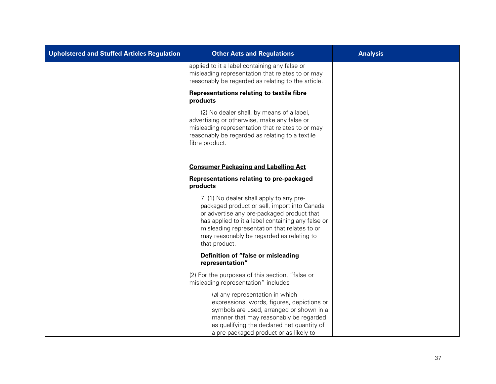| <b>Upholstered and Stuffed Articles Regulation</b> | <b>Other Acts and Regulations</b>                                                                                                                                                                                                                                                                         | <b>Analysis</b> |
|----------------------------------------------------|-----------------------------------------------------------------------------------------------------------------------------------------------------------------------------------------------------------------------------------------------------------------------------------------------------------|-----------------|
|                                                    | applied to it a label containing any false or<br>misleading representation that relates to or may<br>reasonably be regarded as relating to the article.                                                                                                                                                   |                 |
|                                                    | <b>Representations relating to textile fibre</b><br>products                                                                                                                                                                                                                                              |                 |
|                                                    | (2) No dealer shall, by means of a label,<br>advertising or otherwise, make any false or<br>misleading representation that relates to or may<br>reasonably be regarded as relating to a textile<br>fibre product.                                                                                         |                 |
|                                                    | <b>Consumer Packaging and Labelling Act</b>                                                                                                                                                                                                                                                               |                 |
|                                                    | Representations relating to pre-packaged<br>products                                                                                                                                                                                                                                                      |                 |
|                                                    | 7. (1) No dealer shall apply to any pre-<br>packaged product or sell, import into Canada<br>or advertise any pre-packaged product that<br>has applied to it a label containing any false or<br>misleading representation that relates to or<br>may reasonably be regarded as relating to<br>that product. |                 |
|                                                    | Definition of "false or misleading<br>representation"                                                                                                                                                                                                                                                     |                 |
|                                                    | (2) For the purposes of this section, "false or<br>misleading representation" includes                                                                                                                                                                                                                    |                 |
|                                                    | (a) any representation in which<br>expressions, words, figures, depictions or<br>symbols are used, arranged or shown in a<br>manner that may reasonably be regarded<br>as qualifying the declared net quantity of<br>a pre-packaged product or as likely to                                               |                 |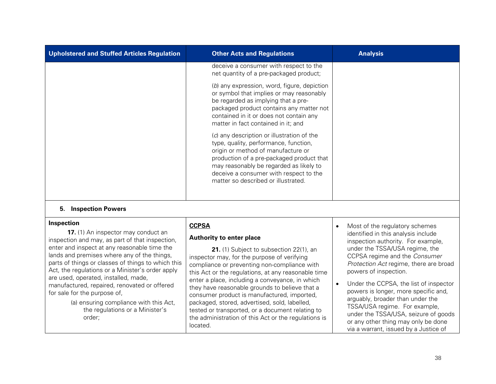| <b>Upholstered and Stuffed Articles Regulation</b>                                                                                                                                                                                                                                                                                                                                                                                                                                                                           | <b>Other Acts and Regulations</b>                                                                                                                                                                                                                                                                                                                                                                                                                                                                                                                                      | <b>Analysis</b>                                                                                                                                                                                                                                                                                                                                                                                                                                                                                                                  |
|------------------------------------------------------------------------------------------------------------------------------------------------------------------------------------------------------------------------------------------------------------------------------------------------------------------------------------------------------------------------------------------------------------------------------------------------------------------------------------------------------------------------------|------------------------------------------------------------------------------------------------------------------------------------------------------------------------------------------------------------------------------------------------------------------------------------------------------------------------------------------------------------------------------------------------------------------------------------------------------------------------------------------------------------------------------------------------------------------------|----------------------------------------------------------------------------------------------------------------------------------------------------------------------------------------------------------------------------------------------------------------------------------------------------------------------------------------------------------------------------------------------------------------------------------------------------------------------------------------------------------------------------------|
|                                                                                                                                                                                                                                                                                                                                                                                                                                                                                                                              | deceive a consumer with respect to the<br>net quantity of a pre-packaged product;                                                                                                                                                                                                                                                                                                                                                                                                                                                                                      |                                                                                                                                                                                                                                                                                                                                                                                                                                                                                                                                  |
|                                                                                                                                                                                                                                                                                                                                                                                                                                                                                                                              | (b) any expression, word, figure, depiction<br>or symbol that implies or may reasonably<br>be regarded as implying that a pre-<br>packaged product contains any matter not<br>contained in it or does not contain any<br>matter in fact contained in it; and                                                                                                                                                                                                                                                                                                           |                                                                                                                                                                                                                                                                                                                                                                                                                                                                                                                                  |
|                                                                                                                                                                                                                                                                                                                                                                                                                                                                                                                              | (c) any description or illustration of the<br>type, quality, performance, function,<br>origin or method of manufacture or<br>production of a pre-packaged product that<br>may reasonably be regarded as likely to<br>deceive a consumer with respect to the<br>matter so described or illustrated.                                                                                                                                                                                                                                                                     |                                                                                                                                                                                                                                                                                                                                                                                                                                                                                                                                  |
| <b>5. Inspection Powers</b>                                                                                                                                                                                                                                                                                                                                                                                                                                                                                                  |                                                                                                                                                                                                                                                                                                                                                                                                                                                                                                                                                                        |                                                                                                                                                                                                                                                                                                                                                                                                                                                                                                                                  |
| Inspection<br>17. (1) An inspector may conduct an<br>inspection and may, as part of that inspection,<br>enter and inspect at any reasonable time the<br>lands and premises where any of the things,<br>parts of things or classes of things to which this<br>Act, the regulations or a Minister's order apply<br>are used, operated, installed, made,<br>manufactured, repaired, renovated or offered<br>for sale for the purpose of,<br>(a) ensuring compliance with this Act,<br>the regulations or a Minister's<br>order; | <b>CCPSA</b><br>Authority to enter place<br>21. (1) Subject to subsection 22(1), an<br>inspector may, for the purpose of verifying<br>compliance or preventing non-compliance with<br>this Act or the regulations, at any reasonable time<br>enter a place, including a conveyance, in which<br>they have reasonable grounds to believe that a<br>consumer product is manufactured, imported,<br>packaged, stored, advertised, sold, labelled,<br>tested or transported, or a document relating to<br>the administration of this Act or the regulations is<br>located. | Most of the regulatory schemes<br>identified in this analysis include<br>inspection authority. For example,<br>under the TSSA/USA regime, the<br>CCPSA regime and the Consumer<br>Protection Act regime, there are broad<br>powers of inspection.<br>Under the CCPSA, the list of inspector<br>powers is longer, more specific and,<br>arguably, broader than under the<br>TSSA/USA regime. For example,<br>under the TSSA/USA, seizure of goods<br>or any other thing may only be done<br>via a warrant, issued by a Justice of |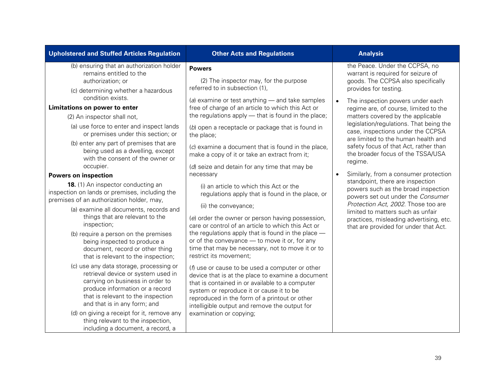| (b) ensuring that an authorization holder<br><b>Powers</b><br>remains entitled to the<br>authorization; or<br>(c) determining whether a hazardous<br>condition exists.<br>Limitations on power to enter                                                                                                                                                                                                                                                                                                                                                                                                                                                                                                                                                                                                                                                                                                                                                                | (2) The inspector may, for the purpose<br>referred to in subsection (1),<br>(a) examine or test anything $-$ and take samples<br>free of charge of an article to which this Act or                                                                                                                                                                                                                                                                                                                                                                                                                                                                                                                                                                                                                                                                                                                                                                                                                                             | $\bullet$ | the Peace. Under the CCPSA, no<br>warrant is required for seizure of<br>goods. The CCPSA also specifically<br>provides for testing.                                                                                                                                                                                                                                                                                                                                                                                                                                                                                                          |
|------------------------------------------------------------------------------------------------------------------------------------------------------------------------------------------------------------------------------------------------------------------------------------------------------------------------------------------------------------------------------------------------------------------------------------------------------------------------------------------------------------------------------------------------------------------------------------------------------------------------------------------------------------------------------------------------------------------------------------------------------------------------------------------------------------------------------------------------------------------------------------------------------------------------------------------------------------------------|--------------------------------------------------------------------------------------------------------------------------------------------------------------------------------------------------------------------------------------------------------------------------------------------------------------------------------------------------------------------------------------------------------------------------------------------------------------------------------------------------------------------------------------------------------------------------------------------------------------------------------------------------------------------------------------------------------------------------------------------------------------------------------------------------------------------------------------------------------------------------------------------------------------------------------------------------------------------------------------------------------------------------------|-----------|----------------------------------------------------------------------------------------------------------------------------------------------------------------------------------------------------------------------------------------------------------------------------------------------------------------------------------------------------------------------------------------------------------------------------------------------------------------------------------------------------------------------------------------------------------------------------------------------------------------------------------------------|
|                                                                                                                                                                                                                                                                                                                                                                                                                                                                                                                                                                                                                                                                                                                                                                                                                                                                                                                                                                        |                                                                                                                                                                                                                                                                                                                                                                                                                                                                                                                                                                                                                                                                                                                                                                                                                                                                                                                                                                                                                                |           |                                                                                                                                                                                                                                                                                                                                                                                                                                                                                                                                                                                                                                              |
| (2) An inspector shall not,<br>(a) use force to enter and inspect lands<br>or premises under this section; or<br>the place;<br>(b) enter any part of premises that are<br>being used as a dwelling, except<br>with the consent of the owner or<br>occupier.<br>necessary<br><b>Powers on inspection</b><br>18. (1) An inspector conducting an<br>inspection on lands or premises, including the<br>premises of an authorization holder, may,<br>(a) examine all documents, records and<br>things that are relevant to the<br>inspection;<br>(b) require a person on the premises<br>being inspected to produce a<br>document, record or other thing<br>that is relevant to the inspection;<br>(c) use any data storage, processing or<br>retrieval device or system used in<br>carrying on business in order to<br>produce information or a record<br>that is relevant to the inspection<br>and that is in any form; and<br>(d) on giving a receipt for it, remove any | the regulations apply - that is found in the place;<br>(b) open a receptacle or package that is found in<br>(c) examine a document that is found in the place,<br>make a copy of it or take an extract from it;<br>(d) seize and detain for any time that may be<br>(i) an article to which this Act or the<br>regulations apply that is found in the place, or<br>(ii) the conveyance;<br>(e) order the owner or person having possession,<br>care or control of an article to which this Act or<br>the regulations apply that is found in the place $-$<br>or of the conveyance - to move it or, for any<br>time that may be necessary, not to move it or to<br>restrict its movement;<br>$(f)$ use or cause to be used a computer or other<br>device that is at the place to examine a document<br>that is contained in or available to a computer<br>system or reproduce it or cause it to be<br>reproduced in the form of a printout or other<br>intelligible output and remove the output for<br>examination or copying; | regime.   | The inspection powers under each<br>regime are, of course, limited to the<br>matters covered by the applicable<br>legislation/regulations. That being the<br>case, inspections under the CCPSA<br>are limited to the human health and<br>safety focus of that Act, rather than<br>the broader focus of the TSSA/USA<br>Similarly, from a consumer protection<br>standpoint, there are inspection<br>powers such as the broad inspection<br>powers set out under the Consumer<br>Protection Act, 2002. Those too are<br>limited to matters such as unfair<br>practices, misleading advertising, etc.<br>that are provided for under that Act. |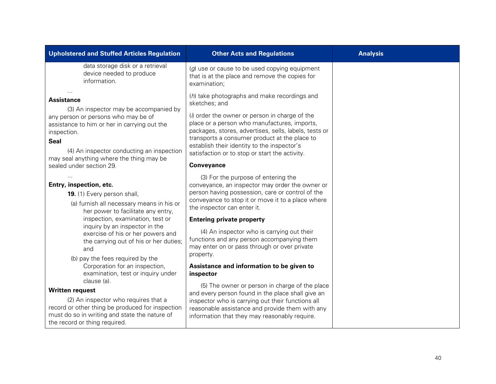| <b>Upholstered and Stuffed Articles Regulation</b>                                                                                                                                                                                                                        | <b>Other Acts and Regulations</b>                                                                                                                                                                                                                                                                                                                                          | <b>Analysis</b> |
|---------------------------------------------------------------------------------------------------------------------------------------------------------------------------------------------------------------------------------------------------------------------------|----------------------------------------------------------------------------------------------------------------------------------------------------------------------------------------------------------------------------------------------------------------------------------------------------------------------------------------------------------------------------|-----------------|
| data storage disk or a retrieval<br>device needed to produce<br>information.                                                                                                                                                                                              | (g) use or cause to be used copying equipment<br>that is at the place and remove the copies for<br>examination;                                                                                                                                                                                                                                                            |                 |
| <b>Assistance</b><br>(3) An inspector may be accompanied by<br>any person or persons who may be of<br>assistance to him or her in carrying out the<br>inspection.<br><b>Seal</b><br>(4) An inspector conducting an inspection<br>may seal anything where the thing may be | (h) take photographs and make recordings and<br>sketches; and<br>(i) order the owner or person in charge of the<br>place or a person who manufactures, imports,<br>packages, stores, advertises, sells, labels, tests or<br>transports a consumer product at the place to<br>establish their identity to the inspector's<br>satisfaction or to stop or start the activity. |                 |
| sealed under section 29.                                                                                                                                                                                                                                                  | <b>Conveyance</b>                                                                                                                                                                                                                                                                                                                                                          |                 |
| Entry, inspection, etc.<br>19. (1) Every person shall,<br>(a) furnish all necessary means in his or<br>her power to facilitate any entry,                                                                                                                                 | (3) For the purpose of entering the<br>conveyance, an inspector may order the owner or<br>person having possession, care or control of the<br>conveyance to stop it or move it to a place where<br>the inspector can enter it.                                                                                                                                             |                 |
| inspection, examination, test or                                                                                                                                                                                                                                          | <b>Entering private property</b>                                                                                                                                                                                                                                                                                                                                           |                 |
| inquiry by an inspector in the<br>exercise of his or her powers and<br>the carrying out of his or her duties;<br>and<br>(b) pay the fees required by the                                                                                                                  | (4) An inspector who is carrying out their<br>functions and any person accompanying them<br>may enter on or pass through or over private<br>property.                                                                                                                                                                                                                      |                 |
| Corporation for an inspection,<br>examination, test or inquiry under                                                                                                                                                                                                      | Assistance and information to be given to<br>inspector                                                                                                                                                                                                                                                                                                                     |                 |
| clause (a).<br><b>Written request</b>                                                                                                                                                                                                                                     | (5) The owner or person in charge of the place<br>and every person found in the place shall give an                                                                                                                                                                                                                                                                        |                 |
| (2) An inspector who requires that a<br>record or other thing be produced for inspection<br>must do so in writing and state the nature of<br>the record or thing required.                                                                                                | inspector who is carrying out their functions all<br>reasonable assistance and provide them with any<br>information that they may reasonably require.                                                                                                                                                                                                                      |                 |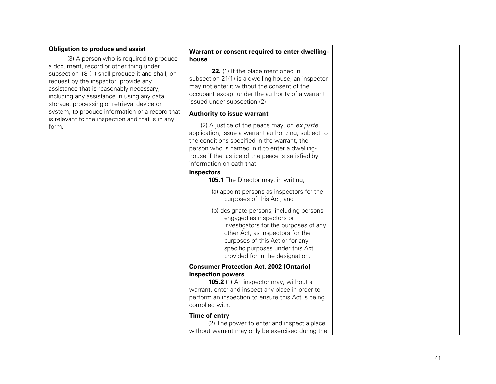### **Obligation to produce and assist**

[\(3\)](http://www.e-laws.gov.on.ca/html/statutes/french/elaws_statutes_00t16_f.htm%23s19s3) A person who is required to produce a document, record or other thing under subsection 18 (1) shall produce it and shall, on request by the inspector, provide any assistance that is reasonably necessary, including any assistance in using any data storage, processing or retrieval device or system, to produce information or a record that is relevant to the inspection and that is in any form.

#### **Warrant or consent required to enter dwelling house**

**22.** (1) If the place mentioned in subsection 21(1) is a dwelling -house, an inspector may not enter it without the consent of the occupant except under the authority of a warrant issued under subsection (2).

### **Authority to issue warrant**

(2) A justice of the peace may, on ex parte application, issue a warrant authorizing, subject to the conditions specified in the warrant, the person who is named in it to enter a dwelling house if the justice of the peace is satisfied by information on oath that

### **Inspectors**

**105.1** The Director may, in writing,

- (a) appoint persons as inspectors for the purposes of this Act; and
- (b) designate persons, including persons engaged as inspectors or investigators for the purposes of any other Act, as inspectors for the purposes of this Act or for any specific purposes under this Act provided for in the designation.

### **Consumer Protection Act, 2002 (Ontario) Inspection powers**

**105.2** (1) An inspector may, without a warrant, enter and inspect any place in order to perform an inspection to ensure this Act is being complied with.

### **Time of entry**

| (2) The power to enter and inspect a place       |
|--------------------------------------------------|
| without warrant may only be exercised during the |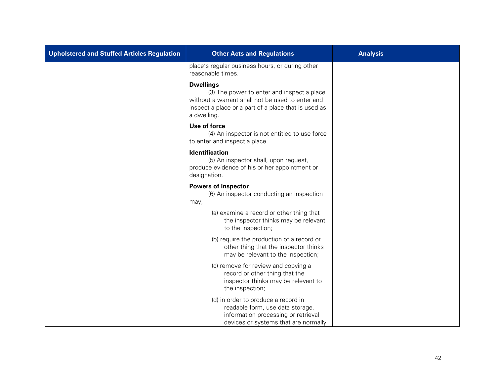| Upholstered and Stuffed Articles Regulation | <b>Other Acts and Regulations</b>                                                                                                                                                         | <b>Analysis</b> |
|---------------------------------------------|-------------------------------------------------------------------------------------------------------------------------------------------------------------------------------------------|-----------------|
|                                             | place's regular business hours, or during other<br>reasonable times.                                                                                                                      |                 |
|                                             | <b>Dwellings</b><br>(3) The power to enter and inspect a place<br>without a warrant shall not be used to enter and<br>inspect a place or a part of a place that is used as<br>a dwelling. |                 |
|                                             | Use of force<br>(4) An inspector is not entitled to use force<br>to enter and inspect a place.                                                                                            |                 |
|                                             | <b>Identification</b><br>(5) An inspector shall, upon request,<br>produce evidence of his or her appointment or<br>designation.                                                           |                 |
|                                             | <b>Powers of inspector</b><br>(6) An inspector conducting an inspection<br>may,                                                                                                           |                 |
|                                             | (a) examine a record or other thing that<br>the inspector thinks may be relevant<br>to the inspection;                                                                                    |                 |
|                                             | (b) require the production of a record or<br>other thing that the inspector thinks<br>may be relevant to the inspection;                                                                  |                 |
|                                             | (c) remove for review and copying a<br>record or other thing that the<br>inspector thinks may be relevant to<br>the inspection;                                                           |                 |
|                                             | (d) in order to produce a record in<br>readable form, use data storage,<br>information processing or retrieval<br>devices or systems that are normally                                    |                 |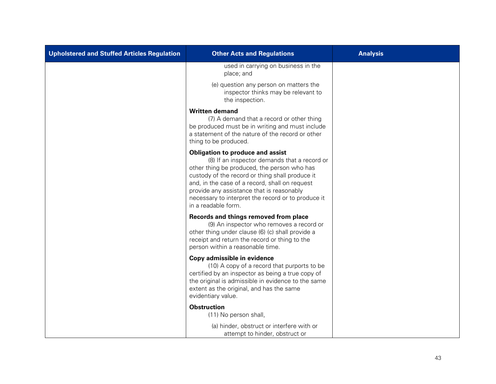| Upholstered and Stuffed Articles Regulation | <b>Other Acts and Regulations</b>                                                                                                                                                                                                                                                                                                                                     | <b>Analysis</b> |
|---------------------------------------------|-----------------------------------------------------------------------------------------------------------------------------------------------------------------------------------------------------------------------------------------------------------------------------------------------------------------------------------------------------------------------|-----------------|
|                                             | used in carrying on business in the<br>place; and                                                                                                                                                                                                                                                                                                                     |                 |
|                                             | (e) question any person on matters the<br>inspector thinks may be relevant to<br>the inspection.                                                                                                                                                                                                                                                                      |                 |
|                                             | <b>Written demand</b><br>(7) A demand that a record or other thing<br>be produced must be in writing and must include<br>a statement of the nature of the record or other<br>thing to be produced.                                                                                                                                                                    |                 |
|                                             | <b>Obligation to produce and assist</b><br>(8) If an inspector demands that a record or<br>other thing be produced, the person who has<br>custody of the record or thing shall produce it<br>and, in the case of a record, shall on request<br>provide any assistance that is reasonably<br>necessary to interpret the record or to produce it<br>in a readable form. |                 |
|                                             | Records and things removed from place<br>(9) An inspector who removes a record or<br>other thing under clause (6) (c) shall provide a<br>receipt and return the record or thing to the<br>person within a reasonable time.                                                                                                                                            |                 |
|                                             | Copy admissible in evidence<br>(10) A copy of a record that purports to be<br>certified by an inspector as being a true copy of<br>the original is admissible in evidence to the same<br>extent as the original, and has the same<br>evidentiary value.                                                                                                               |                 |
|                                             | <b>Obstruction</b><br>(11) No person shall,                                                                                                                                                                                                                                                                                                                           |                 |
|                                             | (a) hinder, obstruct or interfere with or<br>attempt to hinder, obstruct or                                                                                                                                                                                                                                                                                           |                 |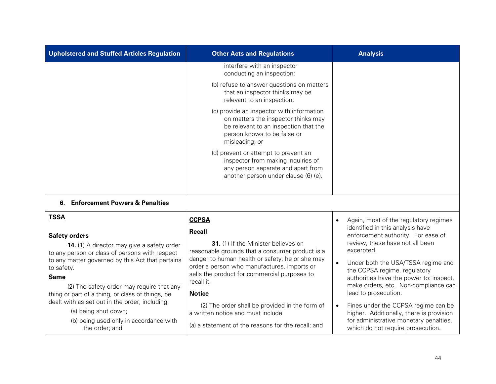| Upholstered and Stuffed Articles Regulation                                                                                                                                                           | <b>Other Acts and Regulations</b>                                                                                                                                                                                                                         | <b>Analysis</b>                                                                                                                                                                                                                          |  |
|-------------------------------------------------------------------------------------------------------------------------------------------------------------------------------------------------------|-----------------------------------------------------------------------------------------------------------------------------------------------------------------------------------------------------------------------------------------------------------|------------------------------------------------------------------------------------------------------------------------------------------------------------------------------------------------------------------------------------------|--|
|                                                                                                                                                                                                       | interfere with an inspector<br>conducting an inspection;                                                                                                                                                                                                  |                                                                                                                                                                                                                                          |  |
|                                                                                                                                                                                                       | (b) refuse to answer questions on matters<br>that an inspector thinks may be<br>relevant to an inspection;                                                                                                                                                |                                                                                                                                                                                                                                          |  |
|                                                                                                                                                                                                       | (c) provide an inspector with information<br>on matters the inspector thinks may<br>be relevant to an inspection that the<br>person knows to be false or<br>misleading; or                                                                                |                                                                                                                                                                                                                                          |  |
|                                                                                                                                                                                                       | (d) prevent or attempt to prevent an<br>inspector from making inquiries of<br>any person separate and apart from<br>another person under clause (6) (e).                                                                                                  |                                                                                                                                                                                                                                          |  |
| <b>Enforcement Powers &amp; Penalties</b><br>6.                                                                                                                                                       |                                                                                                                                                                                                                                                           |                                                                                                                                                                                                                                          |  |
| <b>TSSA</b>                                                                                                                                                                                           | <b>CCPSA</b>                                                                                                                                                                                                                                              | Again, most of the regulatory regimes<br>$\bullet$                                                                                                                                                                                       |  |
| <b>Safety orders</b><br>14. (1) A director may give a safety order<br>to any person or class of persons with respect<br>to any matter governed by this Act that pertains<br>to safety.<br><b>Same</b> | <b>Recall</b><br>31. (1) If the Minister believes on<br>reasonable grounds that a consumer product is a<br>danger to human health or safety, he or she may<br>order a person who manufactures, imports or<br>sells the product for commercial purposes to | identified in this analysis have<br>enforcement authority. For ease of<br>review, these have not all been<br>excerpted.<br>Under both the USA/TSSA regime and<br>the CCPSA regime, regulatory<br>authorities have the power to: inspect, |  |
| (2) The safety order may require that any<br>thing or part of a thing, or class of things, be                                                                                                         | recall it.<br><b>Notice</b>                                                                                                                                                                                                                               | make orders, etc. Non-compliance can<br>lead to prosecution.                                                                                                                                                                             |  |
| dealt with as set out in the order, including,<br>(a) being shut down;                                                                                                                                | (2) The order shall be provided in the form of<br>a written notice and must include                                                                                                                                                                       | Fines under the CCPSA regime can be<br>$\bullet$<br>higher. Additionally, there is provision                                                                                                                                             |  |
| (b) being used only in accordance with<br>the order; and                                                                                                                                              | (a) a statement of the reasons for the recall; and                                                                                                                                                                                                        | for administrative monetary penalties,<br>which do not require prosecution.                                                                                                                                                              |  |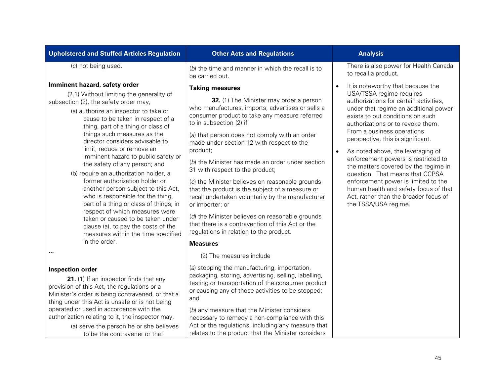| <b>Upholstered and Stuffed Articles Regulation</b>                                                                                                                                                                                                                                                                                                                                                                                                                                                                                                                                                                                                                                                                                                                                                | <b>Other Acts and Regulations</b>                                                                                                                                                                                                                                                                                                                                                                                                                                                                                                                                                                                                                                                                                                                                                 | <b>Analysis</b>                                                                                                                                                                                                                                                                                                                                                                                                                                                                                                                                                                                                                |
|---------------------------------------------------------------------------------------------------------------------------------------------------------------------------------------------------------------------------------------------------------------------------------------------------------------------------------------------------------------------------------------------------------------------------------------------------------------------------------------------------------------------------------------------------------------------------------------------------------------------------------------------------------------------------------------------------------------------------------------------------------------------------------------------------|-----------------------------------------------------------------------------------------------------------------------------------------------------------------------------------------------------------------------------------------------------------------------------------------------------------------------------------------------------------------------------------------------------------------------------------------------------------------------------------------------------------------------------------------------------------------------------------------------------------------------------------------------------------------------------------------------------------------------------------------------------------------------------------|--------------------------------------------------------------------------------------------------------------------------------------------------------------------------------------------------------------------------------------------------------------------------------------------------------------------------------------------------------------------------------------------------------------------------------------------------------------------------------------------------------------------------------------------------------------------------------------------------------------------------------|
| (c) not being used.                                                                                                                                                                                                                                                                                                                                                                                                                                                                                                                                                                                                                                                                                                                                                                               | (b) the time and manner in which the recall is to<br>be carried out.                                                                                                                                                                                                                                                                                                                                                                                                                                                                                                                                                                                                                                                                                                              | There is also power for Health Canada<br>to recall a product.                                                                                                                                                                                                                                                                                                                                                                                                                                                                                                                                                                  |
| Imminent hazard, safety order<br>(2.1) Without limiting the generality of<br>subsection (2), the safety order may,<br>(a) authorize an inspector to take or<br>cause to be taken in respect of a<br>thing, part of a thing or class of<br>things such measures as the<br>director considers advisable to<br>limit, reduce or remove an<br>imminent hazard to public safety or<br>the safety of any person; and<br>(b) require an authorization holder, a<br>former authorization holder or<br>another person subject to this Act,<br>who is responsible for the thing,<br>part of a thing or class of things, in<br>respect of which measures were<br>taken or caused to be taken under<br>clause (a), to pay the costs of the<br>measures within the time specified<br>in the order.<br>$\cdots$ | <b>Taking measures</b><br>32. (1) The Minister may order a person<br>who manufactures, imports, advertises or sells a<br>consumer product to take any measure referred<br>to in subsection (2) if<br>(a) that person does not comply with an order<br>made under section 12 with respect to the<br>product;<br>(b) the Minister has made an order under section<br>31 with respect to the product;<br>(c) the Minister believes on reasonable grounds<br>that the product is the subject of a measure or<br>recall undertaken voluntarily by the manufacturer<br>or importer; or<br>(d) the Minister believes on reasonable grounds<br>that there is a contravention of this Act or the<br>regulations in relation to the product.<br><b>Measures</b><br>(2) The measures include | It is noteworthy that because the<br>$\bullet$<br>USA/TSSA regime requires<br>authorizations for certain activities,<br>under that regime an additional power<br>exists to put conditions on such<br>authorizations or to revoke them.<br>From a business operations<br>perspective, this is significant.<br>As noted above, the leveraging of<br>$\bullet$<br>enforcement powers is restricted to<br>the matters covered by the regime in<br>question. That means that CCPSA<br>enforcement power is limited to the<br>human health and safety focus of that<br>Act, rather than the broader focus of<br>the TSSA/USA regime. |
| <b>Inspection order</b><br>21. (1) If an inspector finds that any<br>provision of this Act, the regulations or a<br>Minister's order is being contravened, or that a<br>thing under this Act is unsafe or is not being<br>operated or used in accordance with the<br>authorization relating to it, the inspector may,<br>(a) serve the person he or she believes<br>to be the contravener or that                                                                                                                                                                                                                                                                                                                                                                                                 | (a) stopping the manufacturing, importation,<br>packaging, storing, advertising, selling, labelling,<br>testing or transportation of the consumer product<br>or causing any of those activities to be stopped;<br>and<br>(b) any measure that the Minister considers<br>necessary to remedy a non-compliance with this<br>Act or the regulations, including any measure that<br>relates to the product that the Minister considers                                                                                                                                                                                                                                                                                                                                                |                                                                                                                                                                                                                                                                                                                                                                                                                                                                                                                                                                                                                                |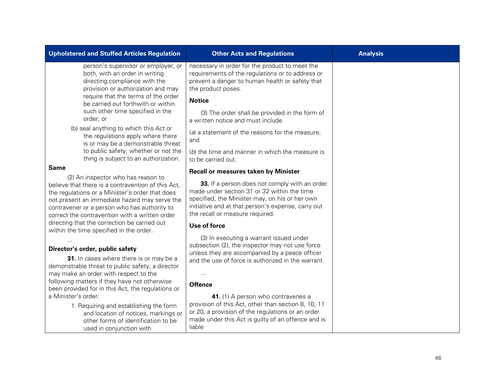| <b>Upholstered and Stuffed Articles Regulation</b>                                                                                                                                                                                                                                                                                                                                                                           | <b>Other Acts and Regulations</b>                                                                                                                                                                                                                                                                                                                                                                                                        | <b>Analysis</b> |
|------------------------------------------------------------------------------------------------------------------------------------------------------------------------------------------------------------------------------------------------------------------------------------------------------------------------------------------------------------------------------------------------------------------------------|------------------------------------------------------------------------------------------------------------------------------------------------------------------------------------------------------------------------------------------------------------------------------------------------------------------------------------------------------------------------------------------------------------------------------------------|-----------------|
| person's supervisor or employer, or<br>both, with an order in writing<br>directing compliance with the<br>provision or authorization and may<br>require that the terms of the order<br>be carried out forthwith or within<br>such other time specified in the<br>order; or<br>(b) seal anything to which this Act or                                                                                                         | necessary in order for the product to meet the<br>requirements of the regulations or to address or<br>prevent a danger to human health or safety that<br>the product poses.<br><b>Notice</b><br>(3) The order shall be provided in the form of<br>a written notice and must include                                                                                                                                                      |                 |
| the regulations apply where there<br>is or may be a demonstrable threat                                                                                                                                                                                                                                                                                                                                                      | (a) a statement of the reasons for the measure;<br>and                                                                                                                                                                                                                                                                                                                                                                                   |                 |
| to public safety, whether or not the<br>thing is subject to an authorization.                                                                                                                                                                                                                                                                                                                                                | (b) the time and manner in which the measure is<br>to be carried out.                                                                                                                                                                                                                                                                                                                                                                    |                 |
| <b>Same</b>                                                                                                                                                                                                                                                                                                                                                                                                                  | <b>Recall or measures taken by Minister</b>                                                                                                                                                                                                                                                                                                                                                                                              |                 |
| (2) An inspector who has reason to<br>believe that there is a contravention of this Act,<br>the regulations or a Minister's order that does<br>not present an immediate hazard may serve the<br>contravener or a person who has authority to<br>correct the contravention with a written order<br>directing that the correction be carried out                                                                               | 33. If a person does not comply with an order<br>made under section 31 or 32 within the time<br>specified, the Minister may, on his or her own<br>initiative and at that person's expense, carry out<br>the recall or measure required.                                                                                                                                                                                                  |                 |
| within the time specified in the order.                                                                                                                                                                                                                                                                                                                                                                                      | Use of force                                                                                                                                                                                                                                                                                                                                                                                                                             |                 |
| Director's order, public safety<br>31. In cases where there is or may be a<br>demonstrable threat to public safety, a director<br>may make an order with respect to the<br>following matters if they have not otherwise<br>been provided for in this Act, the regulations or<br>a Minister's order:<br>1. Requiring and establishing the form<br>and location of notices, markings or<br>other forms of identification to be | (3) In executing a warrant issued under<br>subsection (2), the inspector may not use force<br>unless they are accompanied by a peace officer<br>and the use of force is authorized in the warrant.<br>$\cdots$<br><b>Offence</b><br>41. (1) A person who contravenes a<br>provision of this Act, other than section 8, 10, 11<br>or 20, a provision of the regulations or an order<br>made under this Act is guilty of an offence and is |                 |
| used in conjunction with                                                                                                                                                                                                                                                                                                                                                                                                     | liable                                                                                                                                                                                                                                                                                                                                                                                                                                   |                 |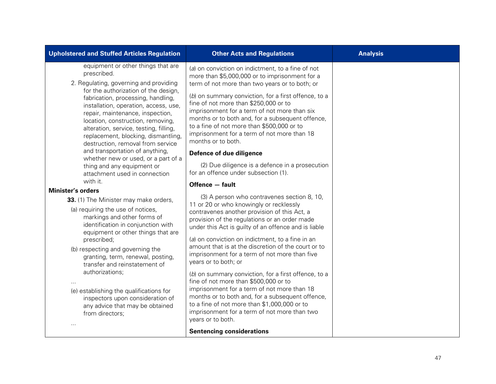| <b>Upholstered and Stuffed Articles Regulation</b>                                                                                                                                                                                                                                                                                                                                                                                                                                                             | <b>Other Acts and Regulations</b>                                                                                                                                                                                                                                                                                                                                                                                                                                                                                                                                                                                                                                                                                                                                                                | <b>Analysis</b> |
|----------------------------------------------------------------------------------------------------------------------------------------------------------------------------------------------------------------------------------------------------------------------------------------------------------------------------------------------------------------------------------------------------------------------------------------------------------------------------------------------------------------|--------------------------------------------------------------------------------------------------------------------------------------------------------------------------------------------------------------------------------------------------------------------------------------------------------------------------------------------------------------------------------------------------------------------------------------------------------------------------------------------------------------------------------------------------------------------------------------------------------------------------------------------------------------------------------------------------------------------------------------------------------------------------------------------------|-----------------|
| equipment or other things that are<br>prescribed.<br>2. Regulating, governing and providing<br>for the authorization of the design,<br>fabrication, processing, handling,<br>installation, operation, access, use,<br>repair, maintenance, inspection,<br>location, construction, removing,<br>alteration, service, testing, filling,<br>replacement, blocking, dismantling,<br>destruction, removal from service<br>and transportation of anything,<br>whether new or used, or a part of a                    | (a) on conviction on indictment, to a fine of not<br>more than \$5,000,000 or to imprisonment for a<br>term of not more than two years or to both; or<br>(b) on summary conviction, for a first offence, to a<br>fine of not more than \$250,000 or to<br>imprisonment for a term of not more than six<br>months or to both and, for a subsequent offence,<br>to a fine of not more than \$500,000 or to<br>imprisonment for a term of not more than 18<br>months or to both.<br>Defence of due diligence<br>(2) Due diligence is a defence in a prosecution                                                                                                                                                                                                                                     |                 |
| thing and any equipment or<br>attachment used in connection                                                                                                                                                                                                                                                                                                                                                                                                                                                    | for an offence under subsection (1).                                                                                                                                                                                                                                                                                                                                                                                                                                                                                                                                                                                                                                                                                                                                                             |                 |
| with it.                                                                                                                                                                                                                                                                                                                                                                                                                                                                                                       | Offence - fault                                                                                                                                                                                                                                                                                                                                                                                                                                                                                                                                                                                                                                                                                                                                                                                  |                 |
| <b>Minister's orders</b><br>33. (1) The Minister may make orders,<br>(a) requiring the use of notices,<br>markings and other forms of<br>identification in conjunction with<br>equipment or other things that are<br>prescribed;<br>(b) respecting and governing the<br>granting, term, renewal, posting,<br>transfer and reinstatement of<br>authorizations;<br>(e) establishing the qualifications for<br>inspectors upon consideration of<br>any advice that may be obtained<br>from directors;<br>$\cdots$ | (3) A person who contravenes section 8, 10,<br>11 or 20 or who knowingly or recklessly<br>contravenes another provision of this Act, a<br>provision of the regulations or an order made<br>under this Act is guilty of an offence and is liable<br>(a) on conviction on indictment, to a fine in an<br>amount that is at the discretion of the court or to<br>imprisonment for a term of not more than five<br>years or to both; or<br>(b) on summary conviction, for a first offence, to a<br>fine of not more than \$500,000 or to<br>imprisonment for a term of not more than 18<br>months or to both and, for a subsequent offence,<br>to a fine of not more than \$1,000,000 or to<br>imprisonment for a term of not more than two<br>years or to both.<br><b>Sentencing considerations</b> |                 |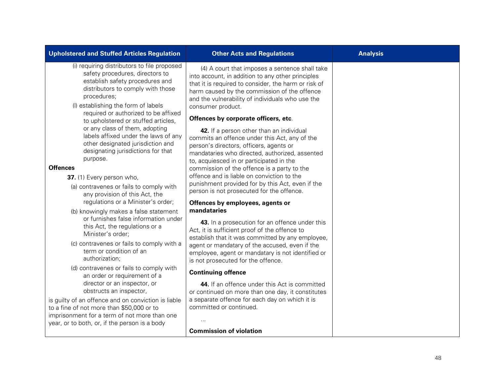| <b>Upholstered and Stuffed Articles Regulation</b>                                                                                                                                                                                                                                                                                                                                                                                                                                                                                                                                                                                                                                                                                                                                                                                                                                                                                                                                                                                                                                                                                                                                                           | <b>Other Acts and Regulations</b>                                                                                                                                                                                                                                                                                                                                                                                                                                                                                                                                                                                                                                                                                                                                                                                                                                                                                                                                                                                                                                                                                                                                                                                                                                                                                                                                         | <b>Analysis</b> |
|--------------------------------------------------------------------------------------------------------------------------------------------------------------------------------------------------------------------------------------------------------------------------------------------------------------------------------------------------------------------------------------------------------------------------------------------------------------------------------------------------------------------------------------------------------------------------------------------------------------------------------------------------------------------------------------------------------------------------------------------------------------------------------------------------------------------------------------------------------------------------------------------------------------------------------------------------------------------------------------------------------------------------------------------------------------------------------------------------------------------------------------------------------------------------------------------------------------|---------------------------------------------------------------------------------------------------------------------------------------------------------------------------------------------------------------------------------------------------------------------------------------------------------------------------------------------------------------------------------------------------------------------------------------------------------------------------------------------------------------------------------------------------------------------------------------------------------------------------------------------------------------------------------------------------------------------------------------------------------------------------------------------------------------------------------------------------------------------------------------------------------------------------------------------------------------------------------------------------------------------------------------------------------------------------------------------------------------------------------------------------------------------------------------------------------------------------------------------------------------------------------------------------------------------------------------------------------------------------|-----------------|
| (i) requiring distributors to file proposed<br>safety procedures, directors to<br>establish safety procedures and<br>distributors to comply with those<br>procedures;<br>(I) establishing the form of labels<br>required or authorized to be affixed<br>to upholstered or stuffed articles,<br>or any class of them, adopting<br>labels affixed under the laws of any<br>other designated jurisdiction and<br>designating jurisdictions for that<br>purpose.<br><b>Offences</b><br>37. (1) Every person who,<br>(a) contravenes or fails to comply with<br>any provision of this Act, the<br>regulations or a Minister's order;<br>(b) knowingly makes a false statement<br>or furnishes false information under<br>this Act, the regulations or a<br>Minister's order;<br>(c) contravenes or fails to comply with a<br>term or condition of an<br>authorization;<br>(d) contravenes or fails to comply with<br>an order or requirement of a<br>director or an inspector, or<br>obstructs an inspector,<br>is guilty of an offence and on conviction is liable<br>to a fine of not more than \$50,000 or to<br>imprisonment for a term of not more than one<br>year, or to both, or, if the person is a body | (4) A court that imposes a sentence shall take<br>into account, in addition to any other principles<br>that it is required to consider, the harm or risk of<br>harm caused by the commission of the offence<br>and the vulnerability of individuals who use the<br>consumer product.<br>Offences by corporate officers, etc.<br>42. If a person other than an individual<br>commits an offence under this Act, any of the<br>person's directors, officers, agents or<br>mandataries who directed, authorized, assented<br>to, acquiesced in or participated in the<br>commission of the offence is a party to the<br>offence and is liable on conviction to the<br>punishment provided for by this Act, even if the<br>person is not prosecuted for the offence.<br>Offences by employees, agents or<br>mandataries<br>43. In a prosecution for an offence under this<br>Act, it is sufficient proof of the offence to<br>establish that it was committed by any employee,<br>agent or mandatary of the accused, even if the<br>employee, agent or mandatary is not identified or<br>is not prosecuted for the offence.<br><b>Continuing offence</b><br>44. If an offence under this Act is committed<br>or continued on more than one day, it constitutes<br>a separate offence for each day on which it is<br>committed or continued.<br><b>Commission of violation</b> |                 |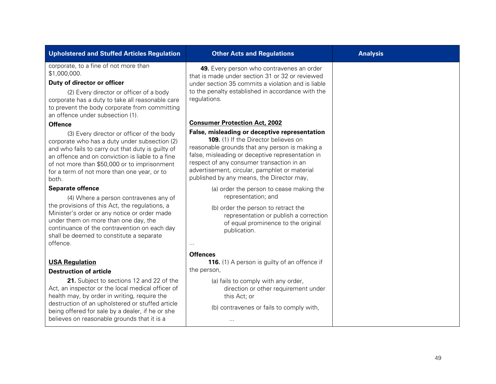| 49. Every person who contravenes an order<br>that is made under section 31 or 32 or reviewed<br>under section 35 commits a violation and is liable<br>to the penalty established in accordance with the<br>regulations.                                                                                                                |  |
|----------------------------------------------------------------------------------------------------------------------------------------------------------------------------------------------------------------------------------------------------------------------------------------------------------------------------------------|--|
| <b>Consumer Protection Act, 2002</b>                                                                                                                                                                                                                                                                                                   |  |
| False, misleading or deceptive representation<br>109. (1) If the Director believes on<br>reasonable grounds that any person is making a<br>false, misleading or deceptive representation in<br>respect of any consumer transaction in an<br>advertisement, circular, pamphlet or material<br>published by any means, the Director may, |  |
| (a) order the person to cease making the                                                                                                                                                                                                                                                                                               |  |
| representation; and<br>(b) order the person to retract the<br>representation or publish a correction<br>of equal prominence to the original<br>publication.<br>$\cdots$                                                                                                                                                                |  |
| <b>Offences</b>                                                                                                                                                                                                                                                                                                                        |  |
| 116. (1) A person is guilty of an offence if<br>the person,                                                                                                                                                                                                                                                                            |  |
| (a) fails to comply with any order,<br>direction or other requirement under<br>this Act; or<br>(b) contravenes or fails to comply with,<br>$\cdots$                                                                                                                                                                                    |  |
|                                                                                                                                                                                                                                                                                                                                        |  |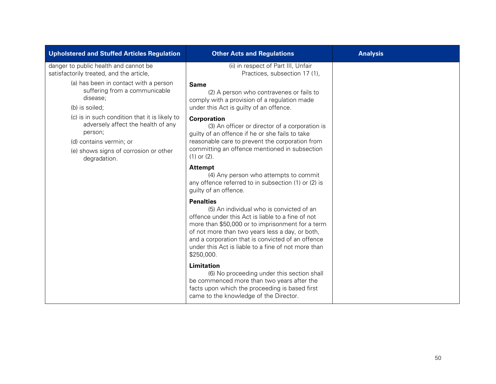| <b>Upholstered and Stuffed Articles Regulation</b>                                                                                                                                 | <b>Other Acts and Regulations</b>                                                                                                                                                                                                                                                                                                                  | <b>Analysis</b> |
|------------------------------------------------------------------------------------------------------------------------------------------------------------------------------------|----------------------------------------------------------------------------------------------------------------------------------------------------------------------------------------------------------------------------------------------------------------------------------------------------------------------------------------------------|-----------------|
| danger to public health and cannot be<br>satisfactorily treated, and the article,                                                                                                  | (ii) in respect of Part III, Unfair<br>Practices, subsection 17 (1),                                                                                                                                                                                                                                                                               |                 |
| (a) has been in contact with a person<br>suffering from a communicable<br>disease;<br>(b) is soiled;                                                                               | <b>Same</b><br>(2) A person who contravenes or fails to<br>comply with a provision of a regulation made<br>under this Act is guilty of an offence.                                                                                                                                                                                                 |                 |
| (c) is in such condition that it is likely to<br>adversely affect the health of any<br>person;<br>(d) contains vermin; or<br>(e) shows signs of corrosion or other<br>degradation. | <b>Corporation</b><br>(3) An officer or director of a corporation is<br>guilty of an offence if he or she fails to take<br>reasonable care to prevent the corporation from<br>committing an offence mentioned in subsection<br>$(1)$ or $(2)$ .                                                                                                    |                 |
|                                                                                                                                                                                    | <b>Attempt</b><br>(4) Any person who attempts to commit<br>any offence referred to in subsection (1) or (2) is<br>guilty of an offence.                                                                                                                                                                                                            |                 |
|                                                                                                                                                                                    | <b>Penalties</b><br>(5) An individual who is convicted of an<br>offence under this Act is liable to a fine of not<br>more than \$50,000 or to imprisonment for a term<br>of not more than two years less a day, or both,<br>and a corporation that is convicted of an offence<br>under this Act is liable to a fine of not more than<br>\$250,000. |                 |
|                                                                                                                                                                                    | Limitation<br>(6) No proceeding under this section shall<br>be commenced more than two years after the<br>facts upon which the proceeding is based first<br>came to the knowledge of the Director.                                                                                                                                                 |                 |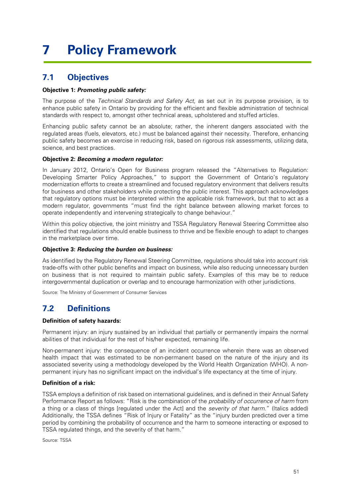## <span id="page-53-1"></span><span id="page-53-0"></span>**7 Policy Framework**

### **7.1 Objectives**

### **Objective 1: Promoting public safety:**

The purpose of the Technical Standards and Safety Act, as set out in its purpose provision, is to enhance public safety in Ontario by providing for the efficient and flexible administration of technical standards with respect to, amongst other technical areas, upholstered and stuffed articles.

Enhancing public safety cannot be an absolute; rather, the inherent dangers associated with the regulated areas (fuels, elevators, etc.) must be balanced against their necessity. Therefore, enhancing public safety becomes an exercise in reducing risk, based on rigorous risk assessments, utilizing data, science, and best practices.

### **Objective 2: Becoming a modern regulator:**

In January 2012, Ontario's Open for Business program released the "Alternatives to Regulation: Developing Smarter Policy Approaches," to support the Government of Ontario's regulatory modernization efforts to create a streamlined and focused regulatory environment that delivers results for business and other stakeholders while protecting the public interest. This approach acknowledges that regulatory options must be interpreted within the applicable risk framework, but that to act as a modern regulator, governments "must find the right balance between allowing market forces to operate independently and intervening strategically to change behaviour."

Within this policy objective, the joint ministry and TSSA Regulatory Renewal Steering Committee also identified that regulations should enable business to thrive and be flexible enough to adapt to changes in the marketplace over time.

### **Objective 3: Reducing the burden on business:**

<span id="page-53-2"></span>As identified by the Regulatory Renewal Steering Committee, regulations should take into account risk trade-offs with other public benefits and impact on business, while also reducing unnecessary burden on business that is not required to maintain public safety. Examples of this may be to reduce intergovernmental duplication or overlap and to encourage harmonization with other jurisdictions.

Source: The Ministry of Government of Consumer Services

## **7.2 Definitions**

### **Definition of safety hazards:**

Permanent injury: an injury sustained by an individual that partially or permanently impairs the normal abilities of that individual for the rest of his/her expected, remaining life.

Non-permanent injury: the consequence of an incident occurrence wherein there was an observed health impact that was estimated to be non-permanent based on the nature of the injury and its associated severity using a methodology developed by the World Health Organization (WHO). A nonpermanent injury has no significant impact on the individual's life expectancy at the time of injury.

### **Definition of a risk:**

TSSA employs a definition of risk based on international guidelines, and is defined in their Annual Safety Performance Report as follows: "Risk is the combination of the *probability of occurrence of harm* from a thing or a class of things [regulated under the Act] and the severity of that harm." (Italics added) Additionally, the TSSA defines "Risk of Injury or Fatality" as the "injury burden predicted over a time period by combining the probability of occurrence and the harm to someone interacting or exposed to TSSA regulated things, and the severity of that harm."

Source: TSSA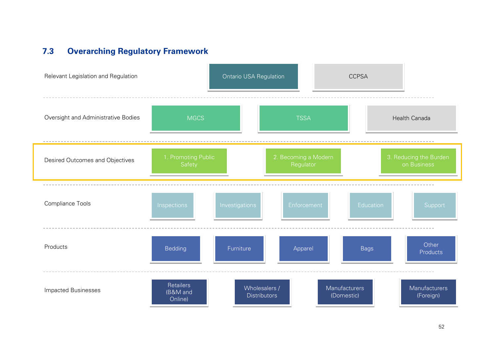## **7.3 Overarching Regulatory Framework**

<span id="page-54-0"></span>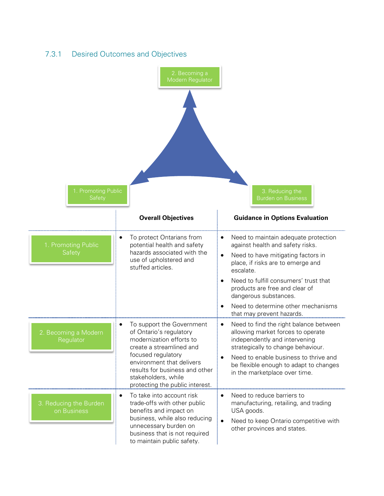

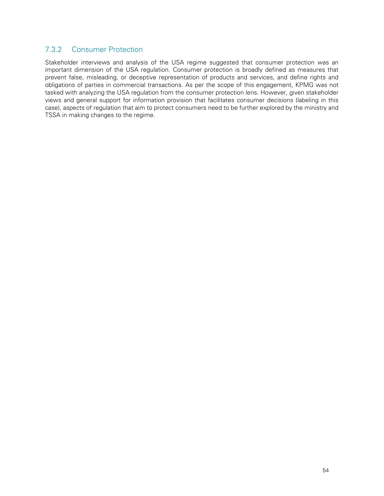### 7.3.2 Consumer Protection

Stakeholder interviews and analysis of the USA regime suggested that consumer protection was an important dimension of the USA regulation. Consumer protection is broadly defined as measures that prevent false, misleading, or deceptive representation of products and services, and define rights and obligations of parties in commercial transactions. As per the scope of this engagement, KPMG was not tasked with analyzing the USA regulation from the consumer protection lens. However, given stakeholder views and general support for information provision that facilitates consumer decisions (labeling in this case), aspects of regulation that aim to protect consumers need to be further explored by the ministry and TSSA in making changes to the regime.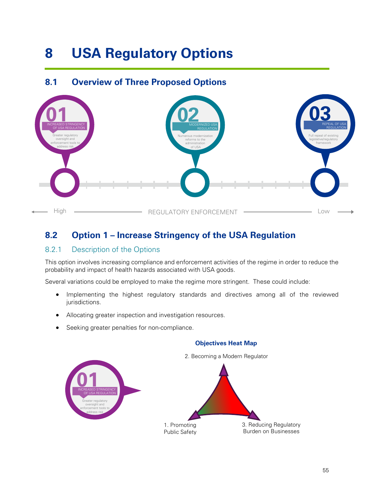## <span id="page-57-0"></span>**8 USA Regulatory Options**

## <span id="page-57-1"></span>**8.1 Overview of Three Proposed Options**

![](_page_57_Figure_2.jpeg)

## <span id="page-57-2"></span>**8.2 Option 1 – Increase Stringency of the USA Regulation**

### 8.2.1 Description of the Options

This option involves increasing compliance and enforcement activities of the regime in order to reduce the probability and impact of health hazards associated with USA goods.

Several variations could be employed to make the regime more stringent. These could include:

- Implementing the highest regulatory standards and directives among all of the reviewed jurisdictions.
- Allocating greater inspection and investigation resources.
- Seeking greater penalties for non-compliance.

![](_page_57_Figure_10.jpeg)

### **Objectives Heat Map**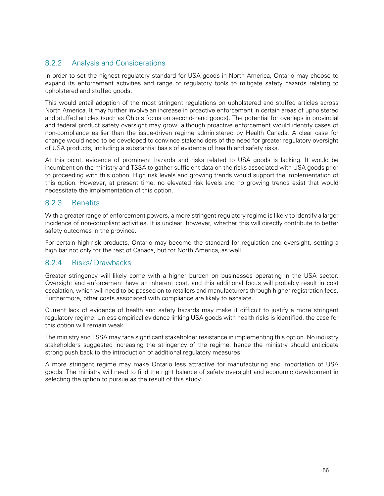### 8.2.2 Analysis and Considerations

In order to set the highest regulatory standard for USA goods in North America, Ontario may choose to expand its enforcement activities and range of regulatory tools to mitigate safety hazards relating to upholstered and stuffed goods.

This would entail adoption of the most stringent regulations on upholstered and stuffed articles across North America. It may further involve an increase in proactive enforcement in certain areas of upholstered and stuffed articles (such as Ohio's focus on second-hand goods). The potential for overlaps in provincial and federal product safety oversight may grow, although proactive enforcement would identify cases of non-compliance earlier than the issue-driven regime administered by Health Canada. A clear case for change would need to be developed to convince stakeholders of the need for greater regulatory oversight of USA products, including a substantial basis of evidence of health and safety risks.

At this point, evidence of prominent hazards and risks related to USA goods is lacking. It would be incumbent on the ministry and TSSA to gather sufficient data on the risks associated with USA goods prior to proceeding with this option. High risk levels and growing trends would support the implementation of this option. However, at present time, no elevated risk levels and no growing trends exist that would necessitate the implementation of this option.

### 8.2.3 Benefits

With a greater range of enforcement powers, a more stringent regulatory regime is likely to identify a larger incidence of non-compliant activities. It is unclear, however, whether this will directly contribute to better safety outcomes in the province.

For certain high-risk products, Ontario may become the standard for regulation and oversight, setting a high bar not only for the rest of Canada, but for North America, as well.

### 8.2.4 Risks/ Drawbacks

Greater stringency will likely come with a higher burden on businesses operating in the USA sector. Oversight and enforcement have an inherent cost, and this additional focus will probably result in cost escalation, which will need to be passed on to retailers and manufacturers through higher registration fees. Furthermore, other costs associated with compliance are likely to escalate.

Current lack of evidence of health and safety hazards may make it difficult to justify a more stringent regulatory regime. Unless empirical evidence linking USA goods with health risks is identified, the case for this option will remain weak.

The ministry and TSSA may face significant stakeholder resistance in implementing this option. No industry stakeholders suggested increasing the stringency of the regime, hence the ministry should anticipate strong push back to the introduction of additional regulatory measures.

A more stringent regime may make Ontario less attractive for manufacturing and importation of USA goods. The ministry will need to find the right balance of safety oversight and economic development in selecting the option to pursue as the result of this study.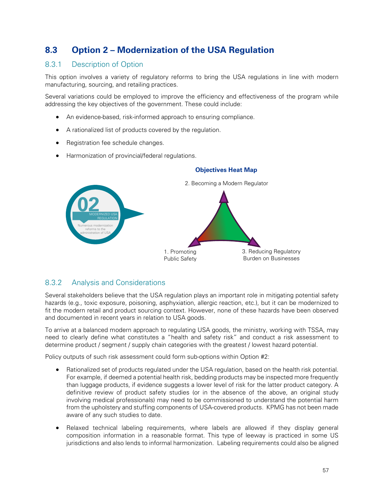## <span id="page-59-0"></span>**8.3 Option 2 – Modernization of the USA Regulation**

### 8.3.1 Description of Option

This option involves a variety of regulatory reforms to bring the USA regulations in line with modern manufacturing, sourcing, and retailing practices.

Several variations could be employed to improve the efficiency and effectiveness of the program while addressing the key objectives of the government. These could include:

- An evidence-based, risk-informed approach to ensuring compliance.
- A rationalized list of products covered by the regulation.
- Registration fee schedule changes.
- Harmonization of provincial/federal regulations.

![](_page_59_Figure_8.jpeg)

### **Objectives Heat Map**

### 8.3.2 Analysis and Considerations

Several stakeholders believe that the USA regulation plays an important role in mitigating potential safety hazards (e.g., toxic exposure, poisoning, asphyxiation, allergic reaction, etc.), but it can be modernized to fit the modern retail and product sourcing context. However, none of these hazards have been observed and documented in recent years in relation to USA goods.

To arrive at a balanced modern approach to regulating USA goods, the ministry, working with TSSA, may need to clearly define what constitutes a "health and safety risk" and conduct a risk assessment to determine product / segment / supply chain categories with the greatest / lowest hazard potential.

Policy outputs of such risk assessment could form sub-options within Option #2:

- Rationalized set of products regulated under the USA regulation, based on the health risk potential. For example, if deemed a potential health risk, bedding products may be inspected more frequently than luggage products, if evidence suggests a lower level of risk for the latter product category. A definitive review of product safety studies (or in the absence of the above, an original study involving medical professionals) may need to be commissioned to understand the potential harm from the upholstery and stuffing components of USA-covered products. KPMG has not been made aware of any such studies to date.
- Relaxed technical labeling requirements, where labels are allowed if they display general composition information in a reasonable format. This type of leeway is practiced in some US jurisdictions and also lends to informal harmonization. Labeling requirements could also be aligned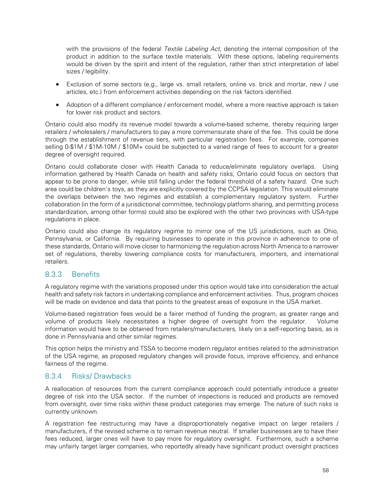with the provisions of the federal Textile Labeling Act, denoting the internal composition of the product in addition to the surface textile materials. With these options, labeling requirements would be driven by the spirit and intent of the regulation, rather than strict interpretation of label sizes / legibility.

- Exclusion of some sectors (e.g., large vs. small retailers, online vs. brick and mortar, new / use articles, etc.) from enforcement activities depending on the risk factors identified.
- Adoption of a different compliance / enforcement model, where a more reactive approach is taken for lower risk product and sectors.

Ontario could also modify its revenue model towards a volume-based scheme, thereby requiring larger retailers / wholesalers / manufacturers to pay a more commensurate share of the fee. This could be done through the establishment of revenue tiers, with particular registration fees. For example, companies selling 0-\$1M / \$1M-10M / \$10M+ could be subjected to a varied range of fees to account for a greater degree of oversight required.

Ontario could collaborate closer with Health Canada to reduce/eliminate regulatory overlaps. Using information gathered by Health Canada on health and safety risks, Ontario could focus on sectors that appear to be prone to danger, while still falling under the federal threshold of a safety hazard. One such area could be children's toys, as they are explicitly covered by the CCPSA legislation. This would eliminate the overlaps between the two regimes and establish a complementary regulatory system. Further collaboration (in the form of a jurisdictional committee, technology platform sharing, and permitting process standardization, among other forms) could also be explored with the other two provinces with USA-type regulations in place.

Ontario could also change its regulatory regime to mirror one of the US jurisdictions, such as Ohio, Pennsylvania, or California. By requiring businesses to operate in this province in adherence to one of these standards, Ontario will move closer to harmonizing the regulation across North America to a narrower set of regulations, thereby lowering compliance costs for manufacturers, importers, and international retailers.

### 8.3.3 Benefits

A regulatory regime with the variations proposed under this option would take into consideration the actual health and safety risk factors in undertaking compliance and enforcement activities. Thus, program choices will be made on evidence and data that points to the greatest areas of exposure in the USA market.

Volume-based registration fees would be a fairer method of funding the program, as greater range and volume of products likely necessitates a higher degree of oversight from the regulator. Volume information would have to be obtained from retailers/manufacturers, likely on a self-reporting basis, as is done in Pennsylvania and other similar regimes.

This option helps the ministry and TSSA to become modern regulator entities related to the administration of the USA regime, as proposed regulatory changes will provide focus, improve efficiency, and enhance fairness of the regime.

### 8.3.4 Risks/ Drawbacks

A reallocation of resources from the current compliance approach could potentially introduce a greater degree of risk into the USA sector. If the number of inspections is reduced and products are removed from oversight, over time risks within these product categories may emerge. The nature of such risks is currently unknown.

A registration fee restructuring may have a disproportionately negative impact on larger retailers / manufacturers, if the revised scheme is to remain revenue neutral. If smaller businesses are to have their fees reduced, larger ones will have to pay more for regulatory oversight. Furthermore, such a scheme may unfairly target larger companies, who reportedly already have significant product oversight practices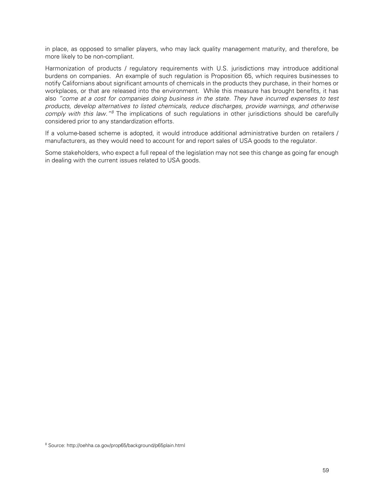in place, as opposed to smaller players, who may lack quality management maturity, and therefore, be more likely to be non-compliant.

Harmonization of products / regulatory requirements with U.S. jurisdictions may introduce additional burdens on companies. An example of such regulation is Proposition 65, which requires businesses to notify Californians about significant amounts of chemicals in the products they purchase, in their homes or workplaces, or that are released into the environment. While this measure has brought benefits, it has also "come at a cost for companies doing business in the state. They have incurred expenses to test products, develop alternatives to listed chemicals, reduce discharges, provide warnings, and otherwise comply with this law."<sup>[8](#page-61-0)</sup> The implications of such regulations in other jurisdictions should be carefully considered prior to any standardization efforts.

If a volume-based scheme is adopted, it would introduce additional administrative burden on retailers / manufacturers, as they would need to account for and report sales of USA goods to the regulator.

Some stakeholders, who expect a full repeal of the legislation may not see this change as going far enough in dealing with the current issues related to USA goods.

<span id="page-61-0"></span><sup>8</sup> Source: http://oehha.ca.gov/prop65/background/p65plain.html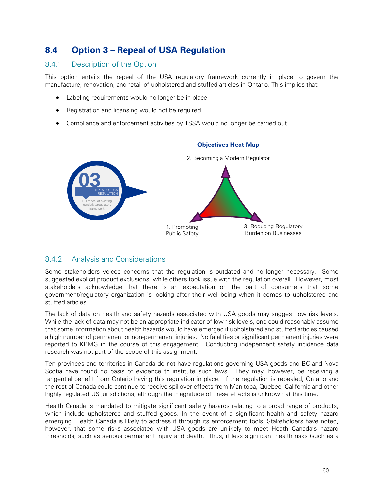### <span id="page-62-0"></span>**8.4 Option 3 – Repeal of USA Regulation**

### 8.4.1 Description of the Option

This option entails the repeal of the USA regulatory framework currently in place to govern the manufacture, renovation, and retail of upholstered and stuffed articles in Ontario. This implies that:

- Labeling requirements would no longer be in place.
- Registration and licensing would not be required.
- Compliance and enforcement activities by TSSA would no longer be carried out.

![](_page_62_Figure_6.jpeg)

### **Objectives Heat Map**

### 8.4.2 Analysis and Considerations

Some stakeholders voiced concerns that the regulation is outdated and no longer necessary. Some suggested explicit product exclusions, while others took issue with the regulation overall. However, most stakeholders acknowledge that there is an expectation on the part of consumers that some government/regulatory organization is looking after their well-being when it comes to upholstered and stuffed articles.

The lack of data on health and safety hazards associated with USA goods may suggest low risk levels. While the lack of data may not be an appropriate indicator of low risk levels, one could reasonably assume that some information about health hazards would have emerged if upholstered and stuffed articles caused a high number of permanent or non-permanent injuries. No fatalities or significant permanent injuries were reported to KPMG in the course of this engagement. Conducting independent safety incidence data research was not part of the scope of this assignment.

Ten provinces and territories in Canada do not have regulations governing USA goods and BC and Nova Scotia have found no basis of evidence to institute such laws. They may, however, be receiving a tangential benefit from Ontario having this regulation in place. If the regulation is repealed, Ontario and the rest of Canada could continue to receive spillover effects from Manitoba, Quebec, California and other highly regulated US jurisdictions, although the magnitude of these effects is unknown at this time.

Health Canada is mandated to mitigate significant safety hazards relating to a broad range of products, which include upholstered and stuffed goods. In the event of a significant health and safety hazard emerging, Health Canada is likely to address it through its enforcement tools. Stakeholders have noted, however, that some risks associated with USA goods are unlikely to meet Heath Canada's hazard thresholds, such as serious permanent injury and death. Thus, if less significant health risks (such as a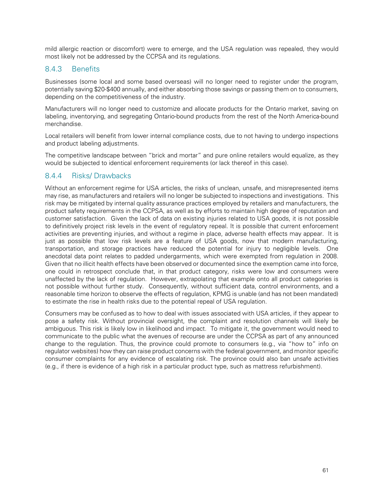mild allergic reaction or discomfort) were to emerge, and the USA regulation was repealed, they would most likely not be addressed by the CCPSA and its regulations.

### 8.4.3 Benefits

Businesses (some local and some based overseas) will no longer need to register under the program, potentially saving \$20-\$400 annually, and either absorbing those savings or passing them on to consumers, depending on the competitiveness of the industry.

Manufacturers will no longer need to customize and allocate products for the Ontario market, saving on labeling, inventorying, and segregating Ontario-bound products from the rest of the North America-bound merchandise.

Local retailers will benefit from lower internal compliance costs, due to not having to undergo inspections and product labeling adjustments.

The competitive landscape between "brick and mortar" and pure online retailers would equalize, as they would be subjected to identical enforcement requirements (or lack thereof in this case).

### 8.4.4 Risks/ Drawbacks

Without an enforcement regime for USA articles, the risks of unclean, unsafe, and misrepresented items may rise, as manufacturers and retailers will no longer be subjected to inspections and investigations. This risk may be mitigated by internal quality assurance practices employed by retailers and manufacturers, the product safety requirements in the CCPSA, as well as by efforts to maintain high degree of reputation and customer satisfaction. Given the lack of data on existing injuries related to USA goods, it is not possible to definitively project risk levels in the event of regulatory repeal. It is possible that current enforcement activities are preventing injuries, and without a regime in place, adverse health effects may appear. It is just as possible that low risk levels are a feature of USA goods, now that modern manufacturing, transportation, and storage practices have reduced the potential for injury to negligible levels. One anecdotal data point relates to padded undergarments, which were exempted from regulation in 2008. Given that no illicit health effects have been observed or documented since the exemption came into force, one could in retrospect conclude that, in that product category, risks were low and consumers were unaffected by the lack of regulation. However, extrapolating that example onto all product categories is not possible without further study. Consequently, without sufficient data, control environments, and a reasonable time horizon to observe the effects of regulation, KPMG is unable (and has not been mandated) to estimate the rise in health risks due to the potential repeal of USA regulation.

Consumers may be confused as to how to deal with issues associated with USA articles, if they appear to pose a safety risk. Without provincial oversight, the complaint and resolution channels will likely be ambiguous. This risk is likely low in likelihood and impact. To mitigate it, the government would need to communicate to the public what the avenues of recourse are under the CCPSA as part of any announced change to the regulation. Thus, the province could promote to consumers (e.g., via "how to" info on regulator websites) how they can raise product concerns with the federal government, and monitor specific consumer complaints for any evidence of escalating risk. The province could also ban unsafe activities (e.g., if there is evidence of a high risk in a particular product type, such as mattress refurbishment).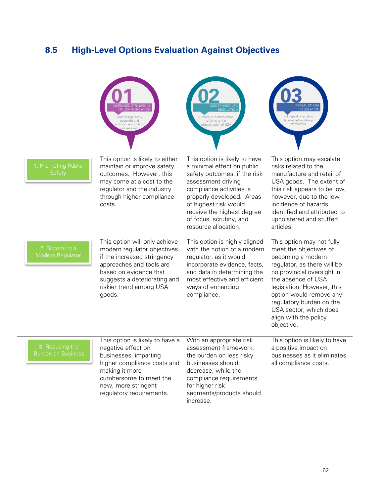## <span id="page-64-0"></span>**8.5 High-Level Options Evaluation Against Objectives**

|                                        | <b>SED STRINGENCY</b><br><b>USA REGULATION</b><br>Greater regulatory<br>oversight and<br>nforcement tools to<br>address risk                                                                                           | <b>IODERNIZED US</b><br><b>REGULATION</b><br>Numerous modernization<br>reforms to the<br>dministration of USA                                                                                                                                                                        | <b>EPEAL OF USA</b><br><b>REGULATION</b><br>Full repeal of existing<br>legislative/regulatory<br>framework                                                                                                                                                                                                        |
|----------------------------------------|------------------------------------------------------------------------------------------------------------------------------------------------------------------------------------------------------------------------|--------------------------------------------------------------------------------------------------------------------------------------------------------------------------------------------------------------------------------------------------------------------------------------|-------------------------------------------------------------------------------------------------------------------------------------------------------------------------------------------------------------------------------------------------------------------------------------------------------------------|
| 1. Promoting Public<br>Safety          | This option is likely to either<br>maintain or improve safety<br>outcomes. However, this<br>may come at a cost to the<br>regulator and the industry<br>through higher compliance<br>costs.                             | This option is likely to have<br>a minimal effect on public<br>safety outcomes, if the risk<br>assessment driving<br>compliance activities is<br>properly developed. Areas<br>of highest risk would<br>receive the highest degree<br>of focus, scrutiny, and<br>resource allocation. | This option may escalate<br>risks related to the<br>manufacture and retail of<br>USA goods. The extent of<br>this risk appears to be low,<br>however, due to the low<br>incidence of hazards<br>identified and attributed to<br>upholstered and stuffed<br>articles.                                              |
| 2. Becoming a<br>Modern Regulator      | This option will only achieve<br>modern regulator objectives<br>if the increased stringency<br>approaches and tools are<br>based on evidence that<br>suggests a deteriorating and<br>riskier trend among USA<br>goods. | This option is highly aligned<br>with the notion of a modern<br>regulator, as it would<br>incorporate evidence, facts,<br>and data in determining the<br>most effective and efficient<br>ways of enhancing<br>compliance.                                                            | This option may not fully<br>meet the objectives of<br>becoming a modern<br>regulator, as there will be<br>no provincial oversight in<br>the absence of USA<br>legislation. However, this<br>option would remove any<br>regulatory burden on the<br>USA sector, which does<br>align with the policy<br>objective. |
| 3. Reducing the<br>Burden on Business. | This option is likely to have a<br>negative effect on<br>businesses, imparting<br>higher compliance costs and<br>making it more<br>cumbersome to meet the<br>new, more stringent<br>regulatory requirements.           | With an appropriate risk<br>assessment framework,<br>the burden on less risky<br>businesses should<br>decrease, while the<br>compliance requirements<br>for higher risk<br>segments/products should<br>increase.                                                                     | This option is likely to have<br>a positive impact on<br>businesses as it eliminates<br>all compliance costs.                                                                                                                                                                                                     |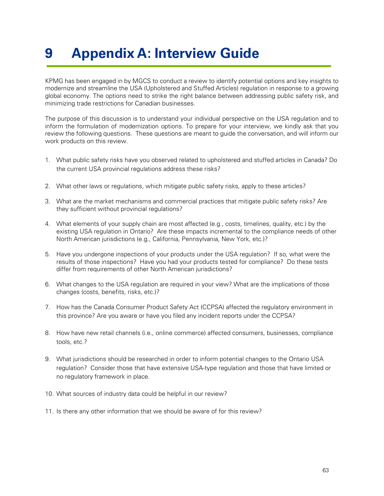## <span id="page-65-0"></span>**9 Appendix A: Interview Guide**

KPMG has been engaged in by MGCS to conduct a review to identify potential options and key insights to modernize and streamline the USA (Upholstered and Stuffed Articles) regulation in response to a growing global economy. The options need to strike the right balance between addressing public safety risk, and minimizing trade restrictions for Canadian businesses.

The purpose of this discussion is to understand your individual perspective on the USA regulation and to inform the formulation of modernization options. To prepare for your interview, we kindly ask that you review the following questions. These questions are meant to guide the conversation, and will inform our work products on this review.

- 1. What public safety risks have you observed related to upholstered and stuffed articles in Canada? Do the current USA provincial regulations address these risks?
- 2. What other laws or regulations, which mitigate public safety risks, apply to these articles?
- 3. What are the market mechanisms and commercial practices that mitigate public safety risks? Are they sufficient without provincial regulations?
- 4. What elements of your supply chain are most affected (e.g., costs, timelines, quality, etc.) by the existing USA regulation in Ontario? Are these impacts incremental to the compliance needs of other North American jurisdictions (e.g., California, Pennsylvania, New York, etc.)?
- 5. Have you undergone inspections of your products under the USA regulation? If so, what were the results of those inspections? Have you had your products tested for compliance? Do these tests differ from requirements of other North American jurisdictions?
- 6. What changes to the USA regulation are required in your view? What are the implications of those changes (costs, benefits, risks, etc.)?
- 7. How has the Canada Consumer Product Safety Act (CCPSA) affected the regulatory environment in this province? Are you aware or have you filed any incident reports under the CCPSA?
- 8. How have new retail channels (i.e., online commerce) affected consumers, businesses, compliance tools, etc.?
- 9. What jurisdictions should be researched in order to inform potential changes to the Ontario USA regulation? Consider those that have extensive USA-type regulation and those that have limited or no regulatory framework in place.
- 10. What sources of industry data could be helpful in our review?
- 11. Is there any other information that we should be aware of for this review?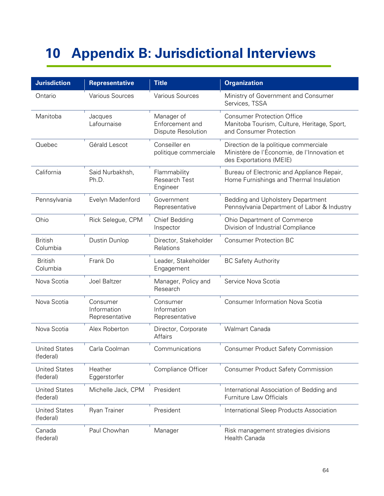## <span id="page-66-0"></span>**10 Appendix B: Jurisdictional Interviews**

| <b>Jurisdiction</b>               | <b>Representative</b>                     | <b>Title</b>                                               | <b>Organization</b>                                                                                             |
|-----------------------------------|-------------------------------------------|------------------------------------------------------------|-----------------------------------------------------------------------------------------------------------------|
| Ontario                           | <b>Various Sources</b>                    | Various Sources                                            | Ministry of Government and Consumer<br>Services, TSSA                                                           |
| Manitoba                          | Jacques<br>Lafournaise                    | Manager of<br>Enforcement and<br><b>Dispute Resolution</b> | <b>Consumer Protection Office</b><br>Manitoba Tourism, Culture, Heritage, Sport,<br>and Consumer Protection     |
| Quebec                            | Gérald Lescot                             | Conseiller en<br>politique commerciale                     | Direction de la politique commerciale<br>Ministère de l'Économie, de l'Innovation et<br>des Exportations (MEIE) |
| California                        | Said Nurbakhsh,<br>Ph.D.                  | Flammability<br><b>Research Test</b><br>Engineer           | Bureau of Electronic and Appliance Repair,<br>Home Furnishings and Thermal Insulation                           |
| Pennsylvania                      | Evelyn Madenford                          | Government<br>Representative                               | Bedding and Upholstery Department<br>Pennsylvania Department of Labor & Industry                                |
| Ohio                              | Rick Selegue, CPM                         | <b>Chief Bedding</b><br>Inspector                          | Ohio Department of Commerce<br>Division of Industrial Compliance                                                |
| <b>British</b><br>Columbia        | Dustin Dunlop                             | Director, Stakeholder<br>Relations                         | <b>Consumer Protection BC</b>                                                                                   |
| <b>British</b><br>Columbia        | Frank Do                                  | Leader, Stakeholder<br>Engagement                          | <b>BC Safety Authority</b>                                                                                      |
| Nova Scotia                       | Joel Baltzer                              | Manager, Policy and<br>Research                            | Service Nova Scotia                                                                                             |
| Nova Scotia                       | Consumer<br>Information<br>Representative | Consumer<br>Information<br>Representative                  | <b>Consumer Information Nova Scotia</b>                                                                         |
| Nova Scotia                       | Alex Roberton                             | Director, Corporate<br>Affairs                             | <b>Walmart Canada</b>                                                                                           |
| <b>United States</b><br>(federal) | Carla Coolman                             | Communications                                             | <b>Consumer Product Safety Commission</b>                                                                       |
| <b>United States</b><br>(federal) | Heather<br>Eggerstorfer                   | Compliance Officer                                         | <b>Consumer Product Safety Commission</b>                                                                       |
| <b>United States</b><br>(federal) | Michelle Jack, CPM                        | President                                                  | International Association of Bedding and<br>Furniture Law Officials                                             |
| <b>United States</b><br>(federal) | Ryan Trainer                              | President                                                  | International Sleep Products Association                                                                        |
| Canada<br>(federal)               | Paul Chowhan                              | Manager                                                    | Risk management strategies divisions<br>Health Canada                                                           |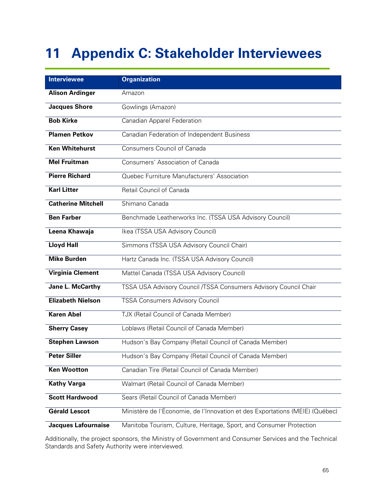## <span id="page-67-0"></span>**11 Appendix C: Stakeholder Interviewees**

| <b>Interviewee</b>        | <b>Organization</b>                                                          |
|---------------------------|------------------------------------------------------------------------------|
| <b>Alison Ardinger</b>    | Amazon                                                                       |
| <b>Jacques Shore</b>      | Gowlings (Amazon)                                                            |
| <b>Bob Kirke</b>          | Canadian Apparel Federation                                                  |
| <b>Plamen Petkov</b>      | Canadian Federation of Independent Business                                  |
| <b>Ken Whitehurst</b>     | Consumers Council of Canada                                                  |
| <b>Mel Fruitman</b>       | Consumers' Association of Canada                                             |
| <b>Pierre Richard</b>     | Quebec Furniture Manufacturers' Association                                  |
| <b>Karl Litter</b>        | Retail Council of Canada                                                     |
| <b>Catherine Mitchell</b> | Shimano Canada                                                               |
| <b>Ben Farber</b>         | Benchmade Leatherworks Inc. (TSSA USA Advisory Council)                      |
| Leena Khawaja             | Ikea (TSSA USA Advisory Council)                                             |
| <b>Lloyd Hall</b>         | Simmons (TSSA USA Advisory Council Chair)                                    |
| <b>Mike Burden</b>        | Hartz Canada Inc. (TSSA USA Advisory Council)                                |
| <b>Virginia Clement</b>   | Mattel Canada (TSSA USA Advisory Council)                                    |
| Jane L. McCarthy          | TSSA USA Advisory Council /TSSA Consumers Advisory Council Chair             |
| <b>Elizabeth Nielson</b>  | <b>TSSA Consumers Advisory Council</b>                                       |
| <b>Karen Abel</b>         | TJX (Retail Council of Canada Member)                                        |
| <b>Sherry Casey</b>       | Loblaws (Retail Council of Canada Member)                                    |
| <b>Stephen Lawson</b>     | Hudson's Bay Company (Retail Council of Canada Member)                       |
| <b>Peter Siller</b>       | Hudson's Bay Company (Retail Council of Canada Member)                       |
| <b>Ken Wootton</b>        | Canadian Tire (Retail Council of Canada Member)                              |
| <b>Kathy Varga</b>        | Walmart (Retail Council of Canada Member)                                    |
| <b>Scott Hardwood</b>     | Sears (Retail Council of Canada Member)                                      |
| <b>Gérald Lescot</b>      | Ministère de l'Économie, de l'Innovation et des Exportations (MEIE) (Québec) |
| Jacques Lafournaise       | Manitoba Tourism, Culture, Heritage, Sport, and Consumer Protection          |

Additionally, the project sponsors, the Ministry of Government and Consumer Services and the Technical Standards and Safety Authority were interviewed.